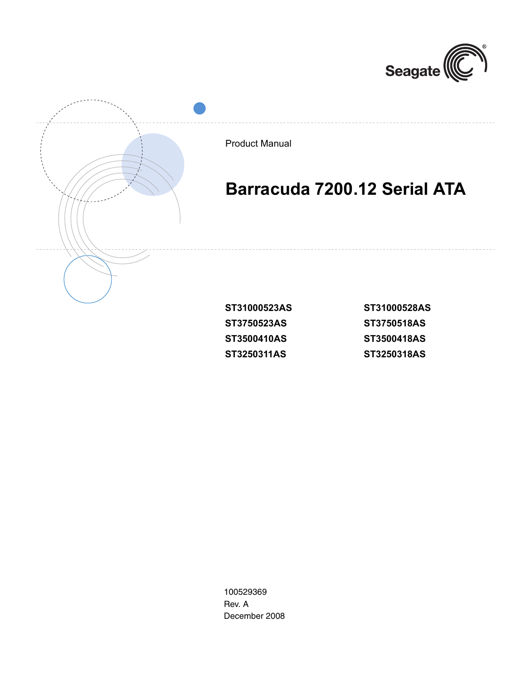



| ST31000528AS |
|--------------|
| ST3750518AS  |
| ST3500418AS  |
| ST3250318AS  |

100529369 Rev. A December 2008

**ST3250311AS**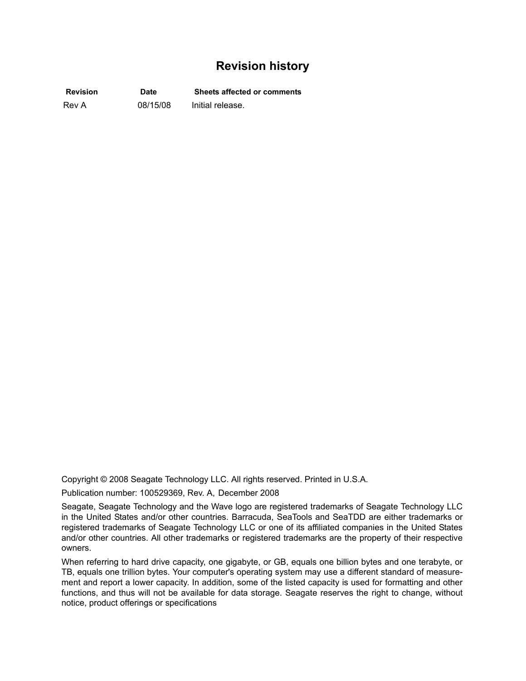## **Revision history**

**Revision Date Sheets affected or comments** Rev A 08/15/08 Initial release.

Copyright © 2008 Seagate Technology LLC. All rights reserved. Printed in U.S.A.

Publication number: 100529369, Rev. A, December 2008

Seagate, Seagate Technology and the Wave logo are registered trademarks of Seagate Technology LLC in the United States and/or other countries. Barracuda, SeaTools and SeaTDD are either trademarks or registered trademarks of Seagate Technology LLC or one of its affiliated companies in the United States and/or other countries. All other trademarks or registered trademarks are the property of their respective owners.

When referring to hard drive capacity, one gigabyte, or GB, equals one billion bytes and one terabyte, or TB, equals one trillion bytes. Your computer's operating system may use a different standard of measurement and report a lower capacity. In addition, some of the listed capacity is used for formatting and other functions, and thus will not be available for data storage. Seagate reserves the right to change, without notice, product offerings or specifications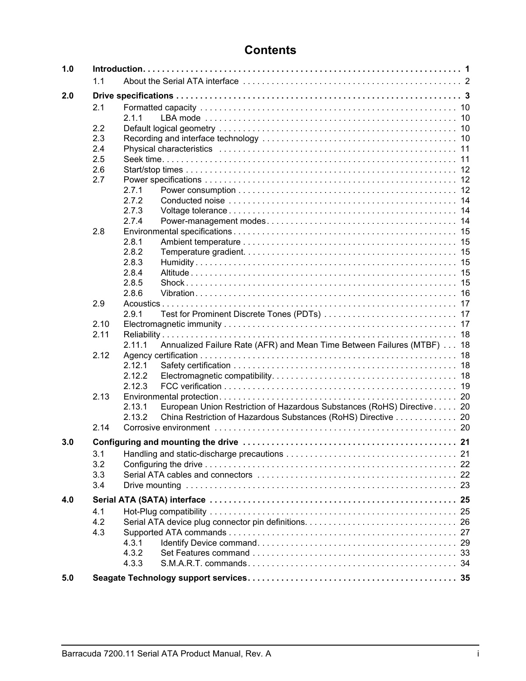| 1.0 |      |                                                                                  |  |
|-----|------|----------------------------------------------------------------------------------|--|
|     | 1.1  |                                                                                  |  |
| 2.0 |      |                                                                                  |  |
|     | 2.1  |                                                                                  |  |
|     |      | 2.1.1                                                                            |  |
|     | 2.2  |                                                                                  |  |
|     | 2.3  |                                                                                  |  |
|     | 2.4  |                                                                                  |  |
|     | 2.5  |                                                                                  |  |
|     | 2.6  |                                                                                  |  |
|     | 2.7  |                                                                                  |  |
|     |      | 2.7.1                                                                            |  |
|     |      | 2.7.2                                                                            |  |
|     |      | 2.7.3                                                                            |  |
|     |      | 2.7.4                                                                            |  |
|     | 2.8  |                                                                                  |  |
|     |      | 2.8.1                                                                            |  |
|     |      | 2.8.2                                                                            |  |
|     |      | 2.8.3                                                                            |  |
|     |      | 2.8.4                                                                            |  |
|     |      | 2.8.5                                                                            |  |
|     |      | 2.8.6                                                                            |  |
|     | 2.9  |                                                                                  |  |
|     |      | 2.9.1                                                                            |  |
|     | 2.10 |                                                                                  |  |
|     | 2.11 |                                                                                  |  |
|     |      | 2.11.1<br>Annualized Failure Rate (AFR) and Mean Time Between Failures (MTBF) 18 |  |
|     | 2.12 |                                                                                  |  |
|     |      | 2.12.1                                                                           |  |
|     |      | 2.12.2                                                                           |  |
|     |      | 2.12.3                                                                           |  |
|     | 2.13 |                                                                                  |  |
|     |      | 2.13.1<br>European Union Restriction of Hazardous Substances (RoHS) Directive 20 |  |
|     |      | 2.13.2<br>China Restriction of Hazardous Substances (RoHS) Directive 20          |  |
|     | 2.14 |                                                                                  |  |
| 3.0 |      |                                                                                  |  |
|     | 3.1  |                                                                                  |  |
|     | 3.2  |                                                                                  |  |
|     | 3.3  |                                                                                  |  |
|     | 3.4  |                                                                                  |  |
| 4.0 |      |                                                                                  |  |
|     | 4.1  |                                                                                  |  |
|     | 4.2  |                                                                                  |  |
|     | 4.3  |                                                                                  |  |
|     |      | 4.3.1                                                                            |  |
|     |      | 4.3.2                                                                            |  |
|     |      | 4.3.3                                                                            |  |
| 5.0 |      |                                                                                  |  |
|     |      |                                                                                  |  |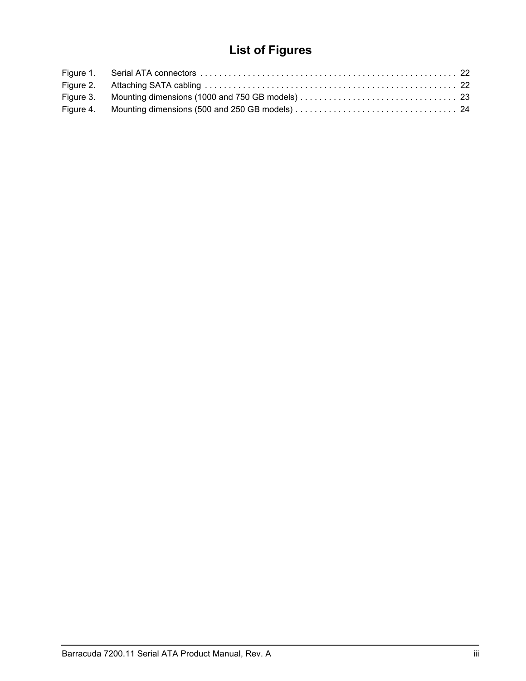# **List of Figures**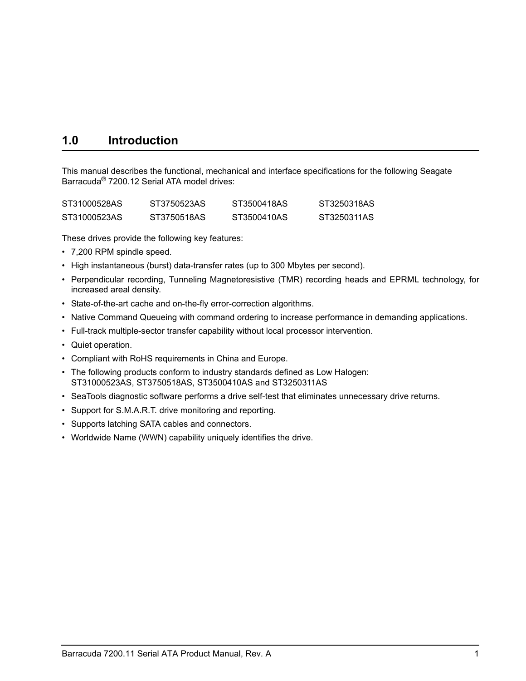# <span id="page-6-0"></span>**1.0 Introduction**

This manual describes the functional, mechanical and interface specifications for the following Seagate Barracuda® 7200.12 Serial ATA model drives:

| ST31000528AS | ST3750523AS | ST3500418AS | ST3250318AS |
|--------------|-------------|-------------|-------------|
| ST31000523AS | ST3750518AS | ST3500410AS | ST3250311AS |

<span id="page-6-5"></span>These drives provide the following key features:

- <span id="page-6-2"></span>• 7,200 RPM spindle speed.
- <span id="page-6-6"></span><span id="page-6-3"></span>• High instantaneous (burst) data-transfer rates (up to 300 Mbytes per second).
- <span id="page-6-1"></span>• Perpendicular recording, Tunneling Magnetoresistive (TMR) recording heads and EPRML technology, for increased areal density.
- <span id="page-6-4"></span>• State-of-the-art cache and on-the-fly error-correction algorithms.
- Native Command Queueing with command ordering to increase performance in demanding applications.
- Full-track multiple-sector transfer capability without local processor intervention.
- Quiet operation.
- Compliant with RoHS requirements in China and Europe.
- The following products conform to industry standards defined as Low Halogen: ST31000523AS, ST3750518AS, ST3500410AS and ST3250311AS
- SeaTools diagnostic software performs a drive self-test that eliminates unnecessary drive returns.
- Support for S.M.A.R.T. drive monitoring and reporting.
- Supports latching SATA cables and connectors.
- Worldwide Name (WWN) capability uniquely identifies the drive.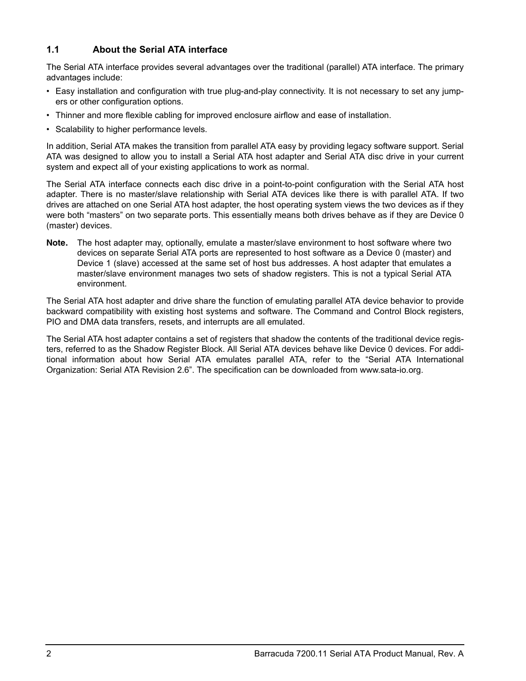## <span id="page-7-0"></span>**1.1 About the Serial ATA interface**

The Serial ATA interface provides several advantages over the traditional (parallel) ATA interface. The primary advantages include:

- Easy installation and configuration with true plug-and-play connectivity. It is not necessary to set any jumpers or other configuration options.
- Thinner and more flexible cabling for improved enclosure airflow and ease of installation.
- Scalability to higher performance levels.

In addition, Serial ATA makes the transition from parallel ATA easy by providing legacy software support. Serial ATA was designed to allow you to install a Serial ATA host adapter and Serial ATA disc drive in your current system and expect all of your existing applications to work as normal.

<span id="page-7-2"></span>The Serial ATA interface connects each disc drive in a point-to-point configuration with the Serial ATA host adapter. There is no master/slave relationship with Serial ATA devices like there is with parallel ATA. If two drives are attached on one Serial ATA host adapter, the host operating system views the two devices as if they were both "masters" on two separate ports. This essentially means both drives behave as if they are Device 0 (master) devices.

<span id="page-7-3"></span><span id="page-7-1"></span>**Note.** The host adapter may, optionally, emulate a master/slave environment to host software where two devices on separate Serial ATA ports are represented to host software as a Device 0 (master) and Device 1 (slave) accessed at the same set of host bus addresses. A host adapter that emulates a master/slave environment manages two sets of shadow registers. This is not a typical Serial ATA environment.

The Serial ATA host adapter and drive share the function of emulating parallel ATA device behavior to provide backward compatibility with existing host systems and software. The Command and Control Block registers, PIO and DMA data transfers, resets, and interrupts are all emulated.

The Serial ATA host adapter contains a set of registers that shadow the contents of the traditional device registers, referred to as the Shadow Register Block. All Serial ATA devices behave like Device 0 devices. For additional information about how Serial ATA emulates parallel ATA, refer to the "Serial ATA International Organization: Serial ATA Revision 2.6". The specification can be downloaded from www.sata-io.org.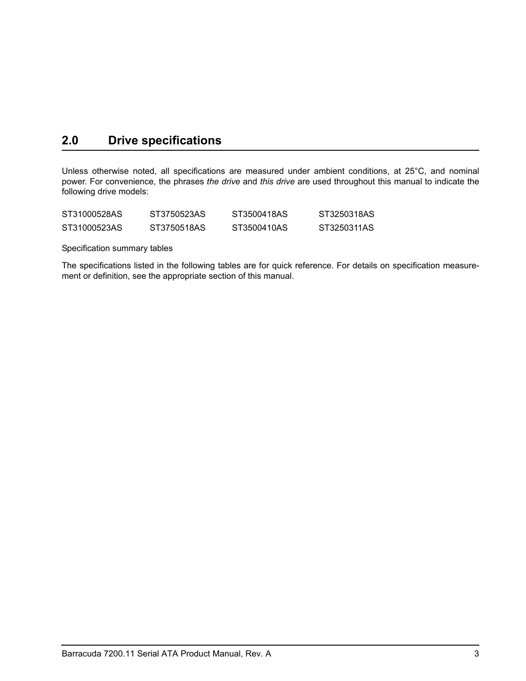# <span id="page-8-0"></span>**2.0 Drive specifications**

Unless otherwise noted, all specifications are measured under ambient conditions, at 25°C, and nominal power. For convenience, the phrases *the drive* and *this drive* are used throughout this manual to indicate the following drive models:

| ST31000528AS | ST3750523AS | ST3500418AS | ST3250318AS |
|--------------|-------------|-------------|-------------|
| ST31000523AS | ST3750518AS | ST3500410AS | ST3250311AS |

<span id="page-8-2"></span>Specification summary tables

<span id="page-8-1"></span>The specifications listed in the following tables are for quick reference. For details on specification measurement or definition, see the appropriate section of this manual.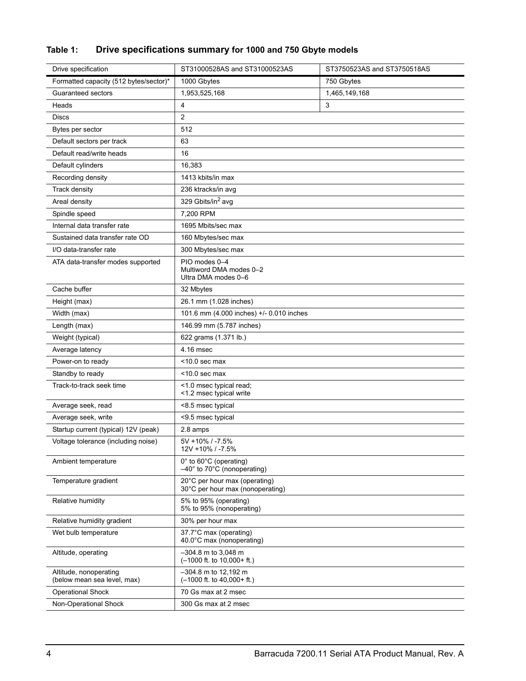## **Table 1: Drive specifications summary for 1000 and 750 Gbyte models**

| Drive specification                                   | ST31000528AS and ST31000523AS                                         | ST3750523AS and ST3750518AS |
|-------------------------------------------------------|-----------------------------------------------------------------------|-----------------------------|
| Formatted capacity (512 bytes/sector)*                | 1000 Gbytes                                                           | 750 Gbytes                  |
| Guaranteed sectors                                    | 1,953,525,168                                                         | 1,465,149,168               |
| Heads                                                 | 4                                                                     | 3                           |
| Discs                                                 | $\overline{c}$                                                        |                             |
| Bytes per sector                                      | 512                                                                   |                             |
| Default sectors per track                             | 63                                                                    |                             |
| Default read/write heads                              | 16                                                                    |                             |
| Default cylinders                                     | 16,383                                                                |                             |
| Recording density                                     | 1413 kbits/in max                                                     |                             |
| Track density                                         | 236 ktracks/in avg                                                    |                             |
| Areal density                                         | 329 Gbits/in <sup>2</sup> avg                                         |                             |
| Spindle speed                                         | 7,200 RPM                                                             |                             |
| Internal data transfer rate                           | 1695 Mbits/sec max                                                    |                             |
| Sustained data transfer rate OD                       | 160 Mbytes/sec max                                                    |                             |
| I/O data-transfer rate                                | 300 Mbytes/sec max                                                    |                             |
| ATA data-transfer modes supported                     | PIO modes 0-4<br>Multiword DMA modes 0-2<br>Ultra DMA modes 0-6       |                             |
| Cache buffer                                          | 32 Mbytes                                                             |                             |
| Height (max)                                          | 26.1 mm (1.028 inches)                                                |                             |
| Width (max)                                           | 101.6 mm (4.000 inches) +/- 0.010 inches                              |                             |
| Length (max)                                          | 146.99 mm (5.787 inches)                                              |                             |
| Weight (typical)                                      | 622 grams (1.371 lb.)                                                 |                             |
| Average latency                                       | 4.16 msec                                                             |                             |
| Power-on to ready                                     | $<$ 10.0 sec max                                                      |                             |
| Standby to ready                                      | $<$ 10.0 sec max                                                      |                             |
| Track-to-track seek time                              | <1.0 msec typical read;<br><1.2 msec typical write                    |                             |
| Average seek, read                                    | <8.5 msec typical                                                     |                             |
| Average seek, write                                   | <9.5 msec typical                                                     |                             |
| Startup current (typical) 12V (peak)                  | 2.8 amps                                                              |                             |
| Voltage tolerance (including noise)                   | 5V +10% / -7.5%<br>12V +10% / -7.5%                                   |                             |
| Ambient temperature                                   | 0° to 60°C (operating)<br>$-40^\circ$ to 70 $^\circ$ C (nonoperating) |                             |
| Temperature gradient                                  | 20°C per hour max (operating)<br>30°C per hour max (nonoperating)     |                             |
| Relative humidity                                     | 5% to 95% (operating)<br>5% to 95% (nonoperating)                     |                             |
| Relative humidity gradient                            | 30% per hour max                                                      |                             |
| Wet bulb temperature                                  | 37.7°C max (operating)<br>40.0°C max (nonoperating)                   |                             |
| Altitude, operating                                   | $-304.8$ m to 3,048 m<br>$(-1000$ ft. to $10,000+$ ft.)               |                             |
| Altitude, nonoperating<br>(below mean sea level, max) | -304.8 m to 12,192 m<br>$(-1000$ ft. to $40,000+$ ft.)                |                             |
| <b>Operational Shock</b>                              | 70 Gs max at 2 msec                                                   |                             |
| Non-Operational Shock                                 | 300 Gs max at 2 msec                                                  |                             |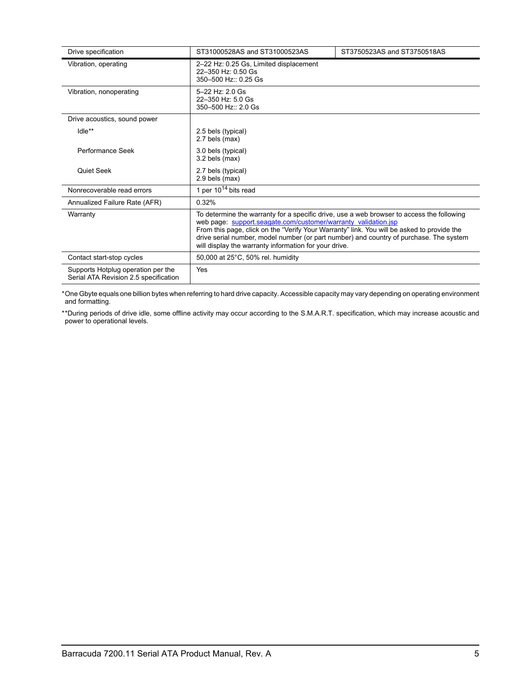| Drive specification                                                         | ST31000528AS and ST31000523AS                                                                                                                                                                                                                                                                                                                                                                                | ST3750523AS and ST3750518AS |  |
|-----------------------------------------------------------------------------|--------------------------------------------------------------------------------------------------------------------------------------------------------------------------------------------------------------------------------------------------------------------------------------------------------------------------------------------------------------------------------------------------------------|-----------------------------|--|
| Vibration, operating                                                        | 2-22 Hz: 0.25 Gs, Limited displacement<br>22-350 Hz: 0.50 Gs<br>350-500 Hz:: 0.25 Gs                                                                                                                                                                                                                                                                                                                         |                             |  |
| Vibration, nonoperating                                                     | 5-22 Hz: 2.0 Gs<br>22-350 Hz: 5.0 Gs<br>350-500 Hz:: 2.0 Gs                                                                                                                                                                                                                                                                                                                                                  |                             |  |
| Drive acoustics, sound power                                                |                                                                                                                                                                                                                                                                                                                                                                                                              |                             |  |
| Idle**                                                                      | 2.5 bels (typical)<br>2.7 bels (max)                                                                                                                                                                                                                                                                                                                                                                         |                             |  |
| Performance Seek                                                            | 3.0 bels (typical)<br>$3.2$ bels (max)                                                                                                                                                                                                                                                                                                                                                                       |                             |  |
| Quiet Seek                                                                  | 2.7 bels (typical)<br>2.9 bels (max)                                                                                                                                                                                                                                                                                                                                                                         |                             |  |
| Nonrecoverable read errors                                                  | 1 per $10^{14}$ bits read                                                                                                                                                                                                                                                                                                                                                                                    |                             |  |
| Annualized Failure Rate (AFR)                                               | 0.32%                                                                                                                                                                                                                                                                                                                                                                                                        |                             |  |
| Warranty                                                                    | To determine the warranty for a specific drive, use a web browser to access the following<br>web page: support.seagate.com/customer/warranty validation.jsp<br>From this page, click on the "Verify Your Warranty" link. You will be asked to provide the<br>drive serial number, model number (or part number) and country of purchase. The system<br>will display the warranty information for your drive. |                             |  |
| Contact start-stop cycles                                                   | 50,000 at 25°C, 50% rel. humidity                                                                                                                                                                                                                                                                                                                                                                            |                             |  |
| Supports Hotplug operation per the<br>Serial ATA Revision 2.5 specification | Yes                                                                                                                                                                                                                                                                                                                                                                                                          |                             |  |

\*One Gbyte equals one billion bytes when referring to hard drive capacity. Accessible capacity may vary depending on operating environment and formatting.

\*\*During periods of drive idle, some offline activity may occur according to the S.M.A.R.T. specification, which may increase acoustic and power to operational levels*.*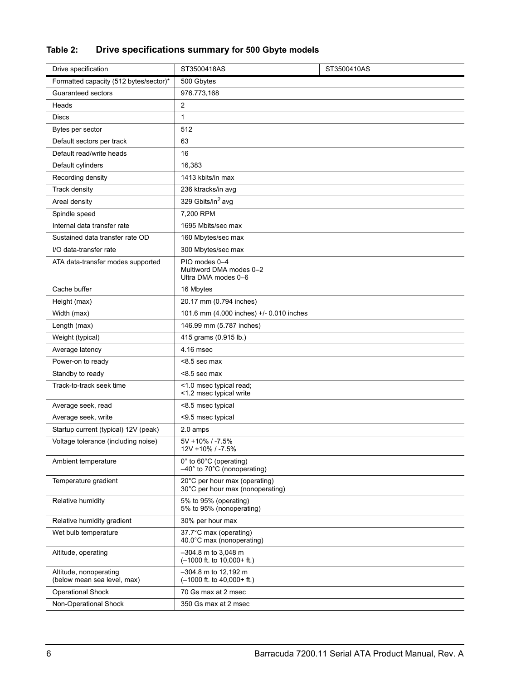# **Table 2: Drive specifications summary for 500 Gbyte models**

| Drive specification                                   | ST3500418AS                                                                                | ST3500410AS |
|-------------------------------------------------------|--------------------------------------------------------------------------------------------|-------------|
| Formatted capacity (512 bytes/sector)*                | 500 Gbytes                                                                                 |             |
| Guaranteed sectors                                    | 976.773,168                                                                                |             |
| Heads                                                 | 2                                                                                          |             |
| <b>Discs</b>                                          | 1                                                                                          |             |
| Bytes per sector                                      | 512                                                                                        |             |
| Default sectors per track                             | 63                                                                                         |             |
| Default read/write heads                              | 16                                                                                         |             |
| Default cylinders                                     | 16,383                                                                                     |             |
| Recording density                                     | 1413 kbits/in max                                                                          |             |
| Track density                                         | 236 ktracks/in avg                                                                         |             |
| Areal density                                         | 329 Gbits/in <sup>2</sup> avg                                                              |             |
| Spindle speed                                         | 7,200 RPM                                                                                  |             |
| Internal data transfer rate                           | 1695 Mbits/sec max                                                                         |             |
| Sustained data transfer rate OD                       | 160 Mbytes/sec max                                                                         |             |
| I/O data-transfer rate                                | 300 Mbytes/sec max                                                                         |             |
| ATA data-transfer modes supported                     | PIO modes 0-4<br>Multiword DMA modes 0-2<br>Ultra DMA modes 0-6                            |             |
| Cache buffer                                          | 16 Mbytes                                                                                  |             |
| Height (max)                                          | 20.17 mm (0.794 inches)                                                                    |             |
| Width (max)                                           | 101.6 mm (4.000 inches) +/- 0.010 inches                                                   |             |
| Length (max)                                          | 146.99 mm (5.787 inches)                                                                   |             |
| Weight (typical)                                      | 415 grams (0.915 lb.)                                                                      |             |
| Average latency                                       | 4.16 msec                                                                                  |             |
| Power-on to ready                                     | <8.5 sec max                                                                               |             |
| Standby to ready                                      | <8.5 sec max                                                                               |             |
| Track-to-track seek time                              | <1.0 msec typical read;<br><1.2 msec typical write                                         |             |
| Average seek, read                                    | <8.5 msec typical                                                                          |             |
| Average seek, write                                   | <9.5 msec typical                                                                          |             |
| Startup current (typical) 12V (peak)                  | 2.0 amps                                                                                   |             |
| Voltage tolerance (including noise)                   | 5V +10% / -7.5%<br>12V +10% / -7.5%                                                        |             |
| Ambient temperature                                   | $0^{\circ}$ to 60 $^{\circ}$ C (operating)<br>$-40^\circ$ to 70 $\degree$ C (nonoperating) |             |
| Temperature gradient                                  | 20°C per hour max (operating)<br>30°C per hour max (nonoperating)                          |             |
| Relative humidity                                     | 5% to 95% (operating)<br>5% to 95% (nonoperating)                                          |             |
| Relative humidity gradient                            | 30% per hour max                                                                           |             |
| Wet bulb temperature                                  | 37.7°C max (operating)<br>40.0°C max (nonoperating)                                        |             |
| Altitude, operating                                   | $-304.8$ m to 3.048 m<br>$(-1000$ ft. to $10,000+$ ft.)                                    |             |
| Altitude, nonoperating<br>(below mean sea level, max) | $-304.8$ m to 12,192 m<br>$(-1000$ ft. to $40,000+$ ft.)                                   |             |
| <b>Operational Shock</b>                              | 70 Gs max at 2 msec                                                                        |             |
| Non-Operational Shock                                 | 350 Gs max at 2 msec                                                                       |             |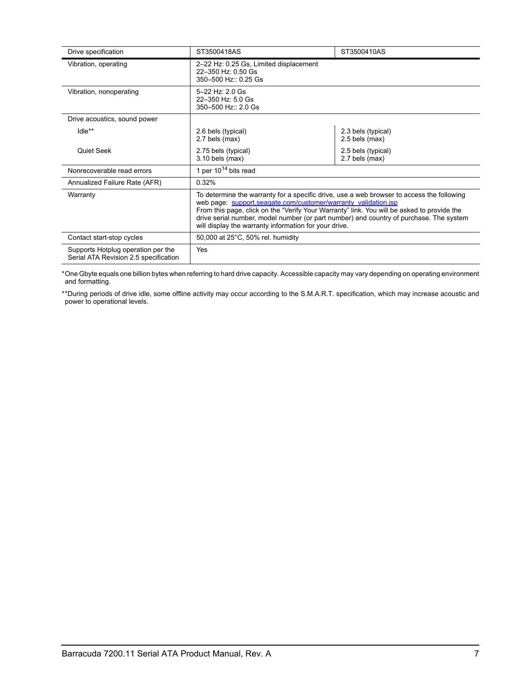| Drive specification                                                         | ST3500418AS                                                                                                                                                                                                                                                                                                                                                                                                  | ST3500410AS                            |
|-----------------------------------------------------------------------------|--------------------------------------------------------------------------------------------------------------------------------------------------------------------------------------------------------------------------------------------------------------------------------------------------------------------------------------------------------------------------------------------------------------|----------------------------------------|
| Vibration, operating                                                        | 2-22 Hz: 0.25 Gs, Limited displacement<br>22-350 Hz: 0.50 Gs<br>350-500 Hz:: 0.25 Gs                                                                                                                                                                                                                                                                                                                         |                                        |
| Vibration, nonoperating                                                     | 5-22 Hz: 2.0 Gs<br>22-350 Hz: 5.0 Gs<br>350-500 Hz:: 2.0 Gs                                                                                                                                                                                                                                                                                                                                                  |                                        |
| Drive acoustics, sound power                                                |                                                                                                                                                                                                                                                                                                                                                                                                              |                                        |
| Idle**                                                                      | 2.6 bels (typical)<br>2.7 bels (max)                                                                                                                                                                                                                                                                                                                                                                         | 2.3 bels (typical)<br>$2.5$ bels (max) |
| Quiet Seek                                                                  | 2.75 bels (typical)<br>$3.10$ bels (max)                                                                                                                                                                                                                                                                                                                                                                     | 2.5 bels (typical)<br>2.7 bels (max)   |
| Nonrecoverable read errors                                                  | 1 per $10^{14}$ bits read                                                                                                                                                                                                                                                                                                                                                                                    |                                        |
| Annualized Failure Rate (AFR)                                               | 0.32%                                                                                                                                                                                                                                                                                                                                                                                                        |                                        |
| Warranty                                                                    | To determine the warranty for a specific drive, use a web browser to access the following<br>web page: support.seagate.com/customer/warranty validation.jsp<br>From this page, click on the "Verify Your Warranty" link. You will be asked to provide the<br>drive serial number, model number (or part number) and country of purchase. The system<br>will display the warranty information for your drive. |                                        |
| Contact start-stop cycles                                                   | 50,000 at 25°C, 50% rel. humidity                                                                                                                                                                                                                                                                                                                                                                            |                                        |
| Supports Hotplug operation per the<br>Serial ATA Revision 2.5 specification | Yes                                                                                                                                                                                                                                                                                                                                                                                                          |                                        |

\*One Gbyte equals one billion bytes when referring to hard drive capacity. Accessible capacity may vary depending on operating environment and formatting.

\*\*During periods of drive idle, some offline activity may occur according to the S.M.A.R.T. specification, which may increase acoustic and power to operational levels*.*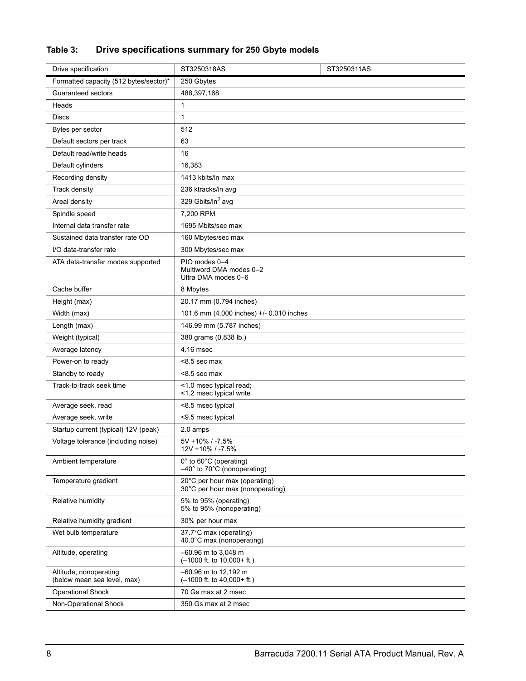# **Table 3: Drive specifications summary for 250 Gbyte models**

| Drive specification                                   | ST3250318AS                                                                                | ST3250311AS |
|-------------------------------------------------------|--------------------------------------------------------------------------------------------|-------------|
| Formatted capacity (512 bytes/sector)*                | 250 Gbytes                                                                                 |             |
| Guaranteed sectors                                    | 488,397,168                                                                                |             |
| Heads                                                 | 1                                                                                          |             |
| <b>Discs</b>                                          | 1                                                                                          |             |
| Bytes per sector                                      | 512                                                                                        |             |
| Default sectors per track                             | 63                                                                                         |             |
| Default read/write heads                              | 16                                                                                         |             |
| Default cylinders                                     | 16,383                                                                                     |             |
| Recording density                                     | 1413 kbits/in max                                                                          |             |
| Track density                                         | 236 ktracks/in avg                                                                         |             |
| Areal density                                         | 329 Gbits/in <sup>2</sup> avg                                                              |             |
| Spindle speed                                         | 7,200 RPM                                                                                  |             |
| Internal data transfer rate                           | 1695 Mbits/sec max                                                                         |             |
| Sustained data transfer rate OD                       | 160 Mbytes/sec max                                                                         |             |
| I/O data-transfer rate                                | 300 Mbytes/sec max                                                                         |             |
| ATA data-transfer modes supported                     | PIO modes 0-4<br>Multiword DMA modes 0-2<br>Ultra DMA modes 0-6                            |             |
| Cache buffer                                          | 8 Mbytes                                                                                   |             |
| Height (max)                                          | 20.17 mm (0.794 inches)                                                                    |             |
| Width (max)                                           | 101.6 mm (4.000 inches) +/- 0.010 inches                                                   |             |
| Length (max)                                          | 146.99 mm (5.787 inches)                                                                   |             |
| Weight (typical)                                      | 380 grams (0.838 lb.)                                                                      |             |
| Average latency                                       | 4.16 msec                                                                                  |             |
| Power-on to ready                                     | <8.5 sec max                                                                               |             |
| Standby to ready                                      | <8.5 sec max                                                                               |             |
| Track-to-track seek time                              | <1.0 msec typical read;<br><1.2 msec typical write                                         |             |
| Average seek, read                                    | <8.5 msec typical                                                                          |             |
| Average seek, write                                   | <9.5 msec typical                                                                          |             |
| Startup current (typical) 12V (peak)                  | 2.0 amps                                                                                   |             |
| Voltage tolerance (including noise)                   | 5V +10% / -7.5%<br>12V +10% / -7.5%                                                        |             |
| Ambient temperature                                   | $0^{\circ}$ to 60 $^{\circ}$ C (operating)<br>$-40^\circ$ to 70 $\degree$ C (nonoperating) |             |
| Temperature gradient                                  | 20°C per hour max (operating)<br>30°C per hour max (nonoperating)                          |             |
| Relative humidity                                     | 5% to 95% (operating)<br>5% to 95% (nonoperating)                                          |             |
| Relative humidity gradient                            | 30% per hour max                                                                           |             |
| Wet bulb temperature                                  | 37.7°C max (operating)<br>40.0°C max (nonoperating)                                        |             |
| Altitude, operating                                   | $-60.96$ m to 3,048 m<br>$(-1000$ ft. to $10,000+$ ft.)                                    |             |
| Altitude, nonoperating<br>(below mean sea level, max) | -60.96 m to 12,192 m<br>$(-1000$ ft. to $40,000+$ ft.)                                     |             |
| <b>Operational Shock</b>                              | 70 Gs max at 2 msec                                                                        |             |
| Non-Operational Shock                                 | 350 Gs max at 2 msec                                                                       |             |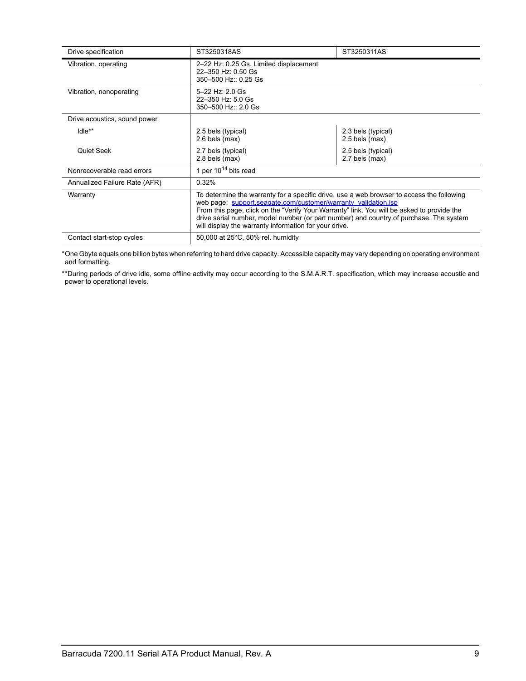| Drive specification           | ST3250318AS                                                                                                                                                                                                                                                                                                                                                                                                  | ST3250311AS                            |  |
|-------------------------------|--------------------------------------------------------------------------------------------------------------------------------------------------------------------------------------------------------------------------------------------------------------------------------------------------------------------------------------------------------------------------------------------------------------|----------------------------------------|--|
| Vibration, operating          | 2-22 Hz: 0.25 Gs, Limited displacement<br>22-350 Hz: 0.50 Gs<br>350-500 Hz:: 0.25 Gs                                                                                                                                                                                                                                                                                                                         |                                        |  |
| Vibration, nonoperating       | $5 - 22$ Hz: 2.0 Gs<br>22-350 Hz: 5.0 Gs<br>350-500 Hz:: 2.0 Gs                                                                                                                                                                                                                                                                                                                                              |                                        |  |
| Drive acoustics, sound power  |                                                                                                                                                                                                                                                                                                                                                                                                              |                                        |  |
| $Idle**$                      | 2.5 bels (typical)<br>$2.6$ bels (max)                                                                                                                                                                                                                                                                                                                                                                       | 2.3 bels (typical)<br>$2.5$ bels (max) |  |
| Quiet Seek                    | 2.7 bels (typical)<br>$2.8$ bels (max)                                                                                                                                                                                                                                                                                                                                                                       | 2.5 bels (typical)<br>2.7 bels (max)   |  |
| Nonrecoverable read errors    | 1 per $10^{14}$ bits read                                                                                                                                                                                                                                                                                                                                                                                    |                                        |  |
| Annualized Failure Rate (AFR) | 0.32%                                                                                                                                                                                                                                                                                                                                                                                                        |                                        |  |
| Warranty                      | To determine the warranty for a specific drive, use a web browser to access the following<br>web page: support.seagate.com/customer/warranty validation.jsp<br>From this page, click on the "Verify Your Warranty" link. You will be asked to provide the<br>drive serial number, model number (or part number) and country of purchase. The system<br>will display the warranty information for your drive. |                                        |  |
| Contact start-stop cycles     | 50,000 at 25°C, 50% rel. humidity                                                                                                                                                                                                                                                                                                                                                                            |                                        |  |

\*One Gbyte equals one billion bytes when referring to hard drive capacity. Accessible capacity may vary depending on operating environment and formatting.

\*\*During periods of drive idle, some offline activity may occur according to the S.M.A.R.T. specification, which may increase acoustic and power to operational levels*.*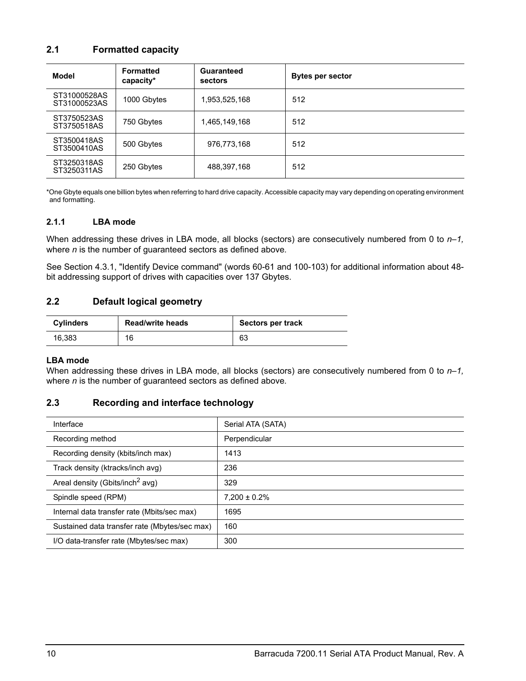## <span id="page-15-9"></span><span id="page-15-5"></span><span id="page-15-0"></span>**2.1 Formatted capacity**

| Model                        | <b>Formatted</b><br>capacity* | <b>Guaranteed</b><br>sectors | <b>Bytes per sector</b> |
|------------------------------|-------------------------------|------------------------------|-------------------------|
| ST31000528AS<br>ST31000523AS | 1000 Gbytes                   | 1,953,525,168                | 512                     |
| ST3750523AS<br>ST3750518AS   | 750 Gbytes                    | 1,465,149,168                | 512                     |
| ST3500418AS<br>ST3500410AS   | 500 Gbytes                    | 976,773,168                  | 512                     |
| ST3250318AS<br>ST3250311AS   | 250 Gbytes                    | 488,397,168                  | 512                     |

\*One Gbyte equals one billion bytes when referring to hard drive capacity. Accessible capacity may vary depending on operating environment and formatting.

#### <span id="page-15-16"></span><span id="page-15-1"></span>**2.1.1 LBA mode**

<span id="page-15-22"></span><span id="page-15-11"></span>When addressing these drives in LBA mode, all blocks (sectors) are consecutively numbered from 0 to  $n-1$ , where *n* is the number of guaranteed sectors as defined above*.*

See [Section 4.3.1, "Identify Device command"](#page-34-0) (words 60-61 and 100-103) for additional information about 48 bit addressing support of drives with capacities over 137 Gbytes.

## <span id="page-15-23"></span><span id="page-15-17"></span><span id="page-15-10"></span><span id="page-15-7"></span><span id="page-15-2"></span>**2.2 Default logical geometry**

<span id="page-15-18"></span><span id="page-15-12"></span><span id="page-15-6"></span>

| <b>Cylinders</b> | <b>Read/write heads</b> | Sectors per track |
|------------------|-------------------------|-------------------|
| 16,383           | 16                      | 63                |

#### **LBA mode**

When addressing these drives in LBA mode, all blocks (sectors) are consecutively numbered from 0 to  $n-1$ , where *n* is the number of guaranteed sectors as defined above*.*

## <span id="page-15-21"></span><span id="page-15-3"></span>**2.3 Recording and interface technology**

<span id="page-15-25"></span><span id="page-15-24"></span><span id="page-15-20"></span><span id="page-15-19"></span><span id="page-15-15"></span><span id="page-15-14"></span><span id="page-15-13"></span><span id="page-15-8"></span><span id="page-15-4"></span>

| Interface                                     | Serial ATA (SATA) |
|-----------------------------------------------|-------------------|
| Recording method                              | Perpendicular     |
| Recording density (kbits/inch max)            | 1413              |
| Track density (ktracks/inch avg)              | 236               |
| Areal density (Gbits/inch <sup>2</sup> avg)   | 329               |
| Spindle speed (RPM)                           | $7,200 \pm 0.2\%$ |
| Internal data transfer rate (Mbits/sec max)   | 1695              |
| Sustained data transfer rate (Mbytes/sec max) | 160               |
| I/O data-transfer rate (Mbytes/sec max)       | 300               |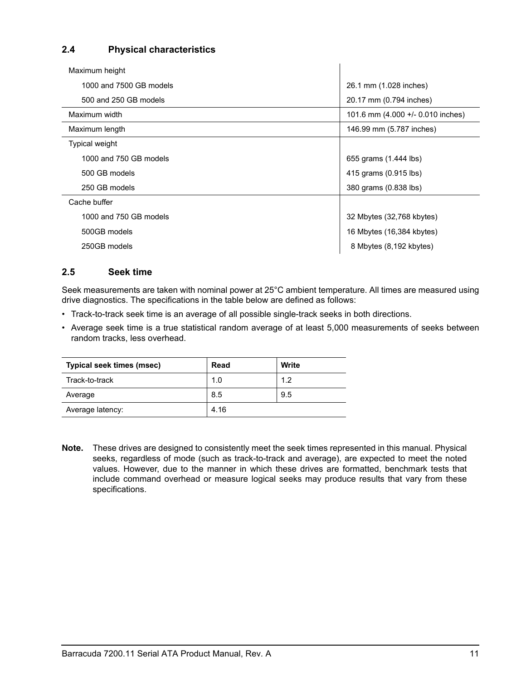## <span id="page-16-12"></span><span id="page-16-0"></span>**2.4 Physical characteristics**

<span id="page-16-19"></span><span id="page-16-18"></span><span id="page-16-10"></span><span id="page-16-7"></span>

| Maximum height                            |                                   |
|-------------------------------------------|-----------------------------------|
| 1000 and 7500 GB models                   | 26.1 mm (1.028 inches)            |
| 500 and 250 GB models                     | 20.17 mm (0.794 inches)           |
| Maximum width                             | 101.6 mm (4.000 +/- 0.010 inches) |
| Maximum length                            | 146.99 mm (5.787 inches)          |
| Typical weight                            |                                   |
| 1000 and 750 GB models                    | 655 grams (1.444 lbs)             |
| 500 GB models                             | 415 grams (0.915 lbs)             |
| 250 GB models                             | 380 grams (0.838 lbs)             |
| Cache buffer                              |                                   |
| 1000 and 750 GB models                    | 32 Mbytes (32,768 kbytes)         |
| 500GB models<br>16 Mbytes (16,384 kbytes) |                                   |
| 250GB models                              | 8 Mbytes (8,192 kbytes)           |

## <span id="page-16-13"></span><span id="page-16-6"></span><span id="page-16-5"></span><span id="page-16-1"></span>**2.5 Seek time**

<span id="page-16-15"></span><span id="page-16-11"></span><span id="page-16-2"></span>Seek measurements are taken with nominal power at 25°C ambient temperature. All times are measured using drive diagnostics. The specifications in the table below are defined as follows:

- <span id="page-16-17"></span><span id="page-16-14"></span><span id="page-16-8"></span><span id="page-16-4"></span>• Track-to-track seek time is an average of all possible single-track seeks in both directions.
- Average seek time is a true statistical random average of at least 5,000 measurements of seeks between random tracks, less overhead.

<span id="page-16-16"></span><span id="page-16-9"></span><span id="page-16-3"></span>

| <b>Typical seek times (msec)</b> | Read | Write |
|----------------------------------|------|-------|
| Track-to-track                   | 1.0  | 1.2   |
| Average                          | 8.5  | 9.5   |
| Average latency:                 | 4.16 |       |

**Note.** These drives are designed to consistently meet the seek times represented in this manual. Physical seeks, regardless of mode (such as track-to-track and average), are expected to meet the noted values. However, due to the manner in which these drives are formatted, benchmark tests that include command overhead or measure logical seeks may produce results that vary from these specifications.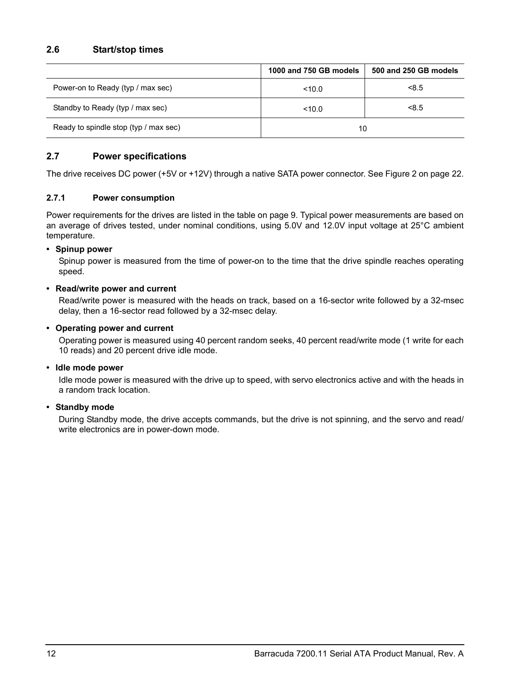<span id="page-17-17"></span><span id="page-17-16"></span><span id="page-17-10"></span><span id="page-17-0"></span>

|                                       | 1000 and 750 GB models | 500 and 250 GB models |
|---------------------------------------|------------------------|-----------------------|
| Power-on to Ready (typ / max sec)     | < 10.0                 | < 8.5                 |
| Standby to Ready (typ / max sec)      | < 10.0                 | < 8.5                 |
| Ready to spindle stop (typ / max sec) | 10                     |                       |

## <span id="page-17-9"></span><span id="page-17-1"></span>**2.7 Power specifications**

<span id="page-17-4"></span>The drive receives DC power (+5V or +12V) through a native SATA power connector. See Figure [2](#page-27-3) on [page 22](#page-27-3).

### <span id="page-17-8"></span><span id="page-17-2"></span>**2.7.1 Power consumption**

Power requirements for the drives are listed in the table on page 9. Typical power measurements are based on an average of drives tested, under nominal conditions, using 5.0V and 12.0V input voltage at 25°C ambient temperature.

#### **• Spinup power**

<span id="page-17-18"></span><span id="page-17-14"></span><span id="page-17-6"></span><span id="page-17-3"></span>Spinup power is measured from the time of power-on to the time that the drive spindle reaches operating speed.

#### **• Read/write power and current**

<span id="page-17-12"></span>Read/write power is measured with the heads on track, based on a 16-sector write followed by a 32-msec delay, then a 16-sector read followed by a 32-msec delay.

### **• Operating power and current**

<span id="page-17-11"></span><span id="page-17-7"></span>Operating power is measured using 40 percent random seeks, 40 percent read/write mode (1 write for each 10 reads) and 20 percent drive idle mode.

#### **• Idle mode power**

<span id="page-17-13"></span><span id="page-17-5"></span>Idle mode power is measured with the drive up to speed, with servo electronics active and with the heads in a random track location.

## **• Standby mode**

<span id="page-17-15"></span>During Standby mode, the drive accepts commands, but the drive is not spinning, and the servo and read/ write electronics are in power-down mode.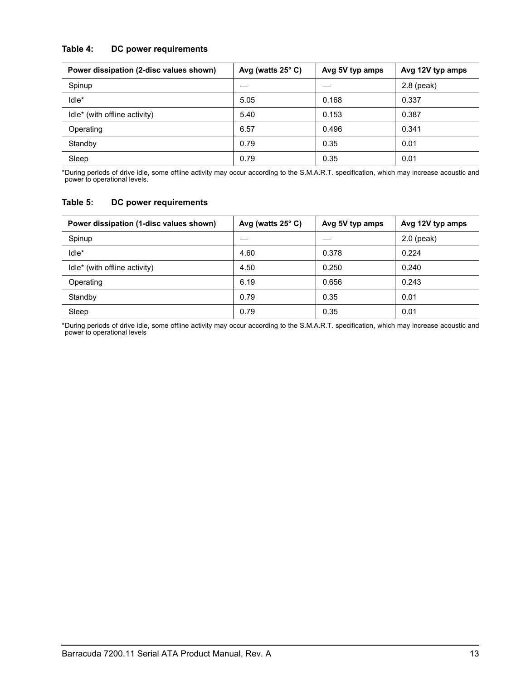## **Table 4: DC power requirements**

<span id="page-18-4"></span><span id="page-18-2"></span><span id="page-18-0"></span>

| Power dissipation (2-disc values shown) | Avg (watts $25^{\circ}$ C) | Avg 5V typ amps | Avg 12V typ amps |
|-----------------------------------------|----------------------------|-----------------|------------------|
| Spinup                                  |                            |                 | $2.8$ (peak)     |
| Idle*                                   | 5.05                       | 0.168           | 0.337            |
| Idle* (with offline activity)           | 5.40                       | 0.153           | 0.387            |
| Operating                               | 6.57                       | 0.496           | 0.341            |
| Standby                                 | 0.79                       | 0.35            | 0.01             |
| Sleep                                   | 0.79                       | 0.35            | 0.01             |

<span id="page-18-5"></span><span id="page-18-3"></span><span id="page-18-1"></span>\*During periods of drive idle, some offline activity may occur according to the S.M.A.R.T. specification, which may increase acoustic and power to operational levels*.*

#### **Table 5: DC power requirements**

| Power dissipation (1-disc values shown) | Avg (watts $25^{\circ}$ C) | Avg 5V typ amps | Avg 12V typ amps |
|-----------------------------------------|----------------------------|-----------------|------------------|
| Spinup                                  |                            |                 | $2.0$ (peak)     |
| Idle*                                   | 4.60                       | 0.378           | 0.224            |
| Idle* (with offline activity)           | 4.50                       | 0.250           | 0.240            |
| Operating                               | 6.19                       | 0.656           | 0.243            |
| Standby                                 | 0.79                       | 0.35            | 0.01             |
| Sleep                                   | 0.79                       | 0.35            | 0.01             |

\*During periods of drive idle, some offline activity may occur according to the S.M.A.R.T. specification, which may increase acoustic and power to operational levels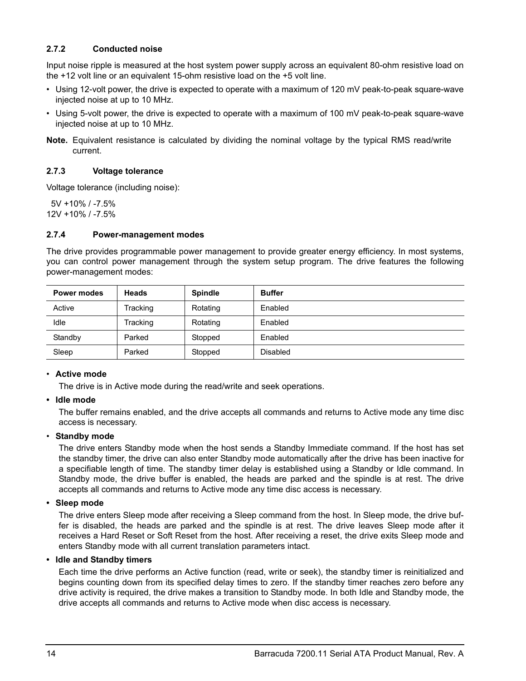## <span id="page-19-9"></span><span id="page-19-5"></span><span id="page-19-0"></span>**2.7.2 Conducted noise**

<span id="page-19-8"></span>Input noise ripple is measured at the host system power supply across an equivalent 80-ohm resistive load on the +12 volt line or an equivalent 15-ohm resistive load on the +5 volt line.

- Using 12-volt power, the drive is expected to operate with a maximum of 120 mV peak-to-peak square-wave injected noise at up to 10 MHz.
- Using 5-volt power, the drive is expected to operate with a maximum of 100 mV peak-to-peak square-wave injected noise at up to 10 MHz.
- <span id="page-19-13"></span>**Note.** Equivalent resistance is calculated by dividing the nominal voltage by the typical RMS read/write current.

#### <span id="page-19-21"></span><span id="page-19-1"></span>**2.7.3 Voltage tolerance**

Voltage tolerance (including noise):

 5V +10% / -7.5% 12V +10% / -7.5%

#### <span id="page-19-11"></span><span id="page-19-2"></span>**2.7.4 Power-management modes**

<span id="page-19-12"></span>The drive provides programmable power management to provide greater energy efficiency. In most systems, you can control power management through the system setup program. The drive features the following power-management modes:

<span id="page-19-10"></span><span id="page-19-6"></span><span id="page-19-3"></span>

| Power modes | <b>Heads</b> | <b>Spindle</b> | <b>Buffer</b>   |
|-------------|--------------|----------------|-----------------|
| Active      | Tracking     | Rotating       | Enabled         |
| Idle        | Tracking     | Rotating       | Enabled         |
| Standby     | Parked       | Stopped        | Enabled         |
| Sleep       | Parked       | Stopped        | <b>Disabled</b> |

#### <span id="page-19-16"></span><span id="page-19-14"></span><span id="page-19-4"></span>• **Active mode**

<span id="page-19-7"></span>The drive is in Active mode during the read/write and seek operations.

### **• Idle mode**

The buffer remains enabled, and the drive accepts all commands and returns to Active mode any time disc access is necessary.

#### <span id="page-19-17"></span>• **Standby mode**

<span id="page-19-19"></span><span id="page-19-18"></span>The drive enters Standby mode when the host sends a Standby Immediate command. If the host has set the standby timer, the drive can also enter Standby mode automatically after the drive has been inactive for a specifiable length of time. The standby timer delay is established using a Standby or Idle command. In Standby mode, the drive buffer is enabled, the heads are parked and the spindle is at rest. The drive accepts all commands and returns to Active mode any time disc access is necessary.

### <span id="page-19-15"></span>**• Sleep mode**

The drive enters Sleep mode after receiving a Sleep command from the host. In Sleep mode, the drive buffer is disabled, the heads are parked and the spindle is at rest. The drive leaves Sleep mode after it receives a Hard Reset or Soft Reset from the host. After receiving a reset, the drive exits Sleep mode and enters Standby mode with all current translation parameters intact.

### **• Idle and Standby timers**

<span id="page-19-20"></span>Each time the drive performs an Active function (read, write or seek), the standby timer is reinitialized and begins counting down from its specified delay times to zero. If the standby timer reaches zero before any drive activity is required, the drive makes a transition to Standby mode. In both Idle and Standby mode, the drive accepts all commands and returns to Active mode when disc access is necessary.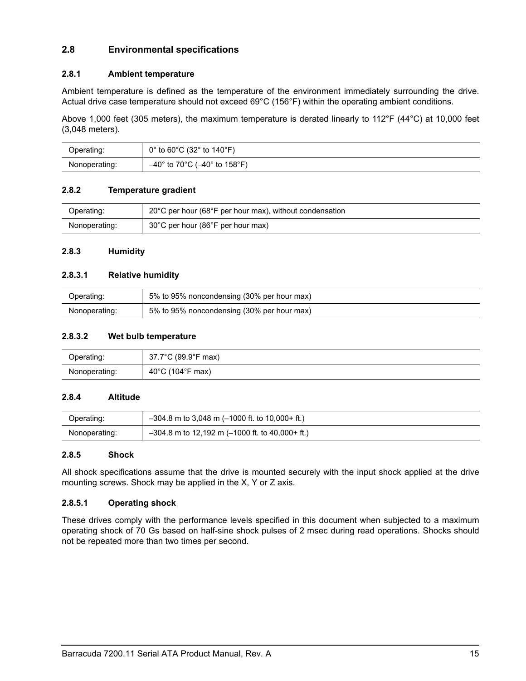## <span id="page-20-9"></span><span id="page-20-0"></span>**2.8 Environmental specifications**

## <span id="page-20-17"></span><span id="page-20-7"></span><span id="page-20-1"></span>**2.8.1 Ambient temperature**

<span id="page-20-8"></span>Ambient temperature is defined as the temperature of the environment immediately surrounding the drive. Actual drive case temperature should not exceed 69°C (156°F) within the operating ambient conditions.

<span id="page-20-11"></span>Above 1,000 feet (305 meters), the maximum temperature is derated linearly to 112°F (44°C) at 10,000 feet (3,048 meters).

| Operating:    | $0^{\circ}$ to 60 $^{\circ}$ C (32 $^{\circ}$ to 140 $^{\circ}$ F)    |
|---------------|-----------------------------------------------------------------------|
| Nonoperating: | $-40^{\circ}$ to 70 $^{\circ}$ C ( $-40^{\circ}$ to 158 $^{\circ}$ F) |

### <span id="page-20-18"></span><span id="page-20-2"></span>**2.8.2 Temperature gradient**

| Operating:    | 20°C per hour (68°F per hour max), without condensation |
|---------------|---------------------------------------------------------|
| Nonoperating: | 30°C per hour (86°F per hour max)                       |

#### <span id="page-20-10"></span><span id="page-20-3"></span>**2.8.3 Humidity**

#### <span id="page-20-14"></span>**2.8.3.1 Relative humidity**

| Operating:    | 5% to 95% noncondensing (30% per hour max) |
|---------------|--------------------------------------------|
| Nonoperating: | 5% to 95% noncondensing (30% per hour max) |

#### <span id="page-20-19"></span>**2.8.3.2 Wet bulb temperature**

| Operating:    | 37.7°C (99.9°F max)                  |
|---------------|--------------------------------------|
| Nonoperating: | $(104^{\circ}F \text{ max})$<br>40°C |

#### <span id="page-20-6"></span><span id="page-20-4"></span>**2.8.4 Altitude**

| Operating:    | $-304.8$ m to 3,048 m (-1000 ft. to 10,000+ ft.)  |
|---------------|---------------------------------------------------|
| Nonoperating: | $-304.8$ m to 12,192 m (-1000 ft. to 40,000+ ft.) |

#### <span id="page-20-16"></span><span id="page-20-5"></span>**2.8.5 Shock**

<span id="page-20-15"></span><span id="page-20-12"></span>All shock specifications assume that the drive is mounted securely with the input shock applied at the drive mounting screws. Shock may be applied in the X, Y or Z axis.

## <span id="page-20-13"></span>**2.8.5.1 Operating shock**

These drives comply with the performance levels specified in this document when subjected to a maximum operating shock of 70 Gs based on half-sine shock pulses of 2 msec during read operations. Shocks should not be repeated more than two times per second.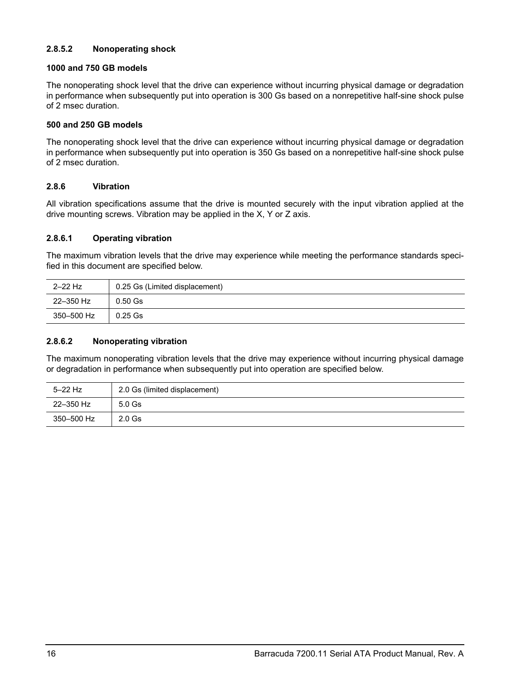## <span id="page-21-3"></span>**2.8.5.2 Nonoperating shock**

## **1000 and 750 GB models**

The nonoperating shock level that the drive can experience without incurring physical damage or degradation in performance when subsequently put into operation is 300 Gs based on a nonrepetitive half-sine shock pulse of 2 msec duration.

#### **500 and 250 GB models**

The nonoperating shock level that the drive can experience without incurring physical damage or degradation in performance when subsequently put into operation is 350 Gs based on a nonrepetitive half-sine shock pulse of 2 msec duration.

### <span id="page-21-6"></span><span id="page-21-0"></span>**2.8.6 Vibration**

All vibration specifications assume that the drive is mounted securely with the input vibration applied at the drive mounting screws. Vibration may be applied in the X, Y or Z axis.

#### <span id="page-21-5"></span>**2.8.6.1 Operating vibration**

The maximum vibration levels that the drive may experience while meeting the performance standards specified in this document are specified below.

| $2-22$ Hz  | 0.25 Gs (Limited displacement) |  |
|------------|--------------------------------|--|
| 22-350 Hz  | $0.50$ Gs                      |  |
| 350–500 Hz | $0.25$ Gs                      |  |

#### <span id="page-21-4"></span>**2.8.6.2 Nonoperating vibration**

The maximum nonoperating vibration levels that the drive may experience without incurring physical damage or degradation in performance when subsequently put into operation are specified below.

<span id="page-21-2"></span><span id="page-21-1"></span>

| $5-22$ Hz  | 2.0 Gs (limited displacement) |  |
|------------|-------------------------------|--|
| 22-350 Hz  | $5.0$ Gs                      |  |
| 350–500 Hz | $2.0$ Gs                      |  |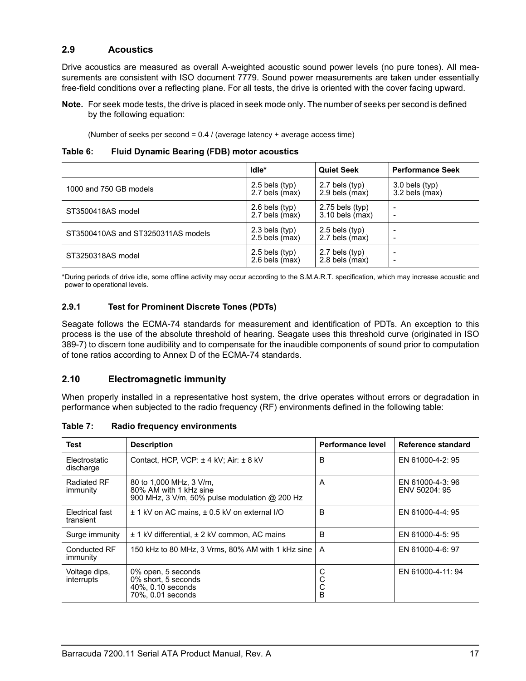## <span id="page-22-3"></span><span id="page-22-0"></span>**2.9 Acoustics**

Drive acoustics are measured as overall A-weighted acoustic sound power levels (no pure tones). All measurements are consistent with ISO document 7779. Sound power measurements are taken under essentially free-field conditions over a reflecting plane. For all tests, the drive is oriented with the cover facing upward.

**Note.** For seek mode tests, the drive is placed in seek mode only. The number of seeks per second is defined by the following equation:

<span id="page-22-13"></span><span id="page-22-8"></span>(Number of seeks per second =  $0.4$  / (average latency + average access time)

| Table 6: |  |  | <b>Fluid Dynamic Bearing (FDB) motor acoustics</b> |
|----------|--|--|----------------------------------------------------|
|          |  |  |                                                    |

|                                    | Idle*            | <b>Quiet Seek</b> | <b>Performance Seek</b>  |
|------------------------------------|------------------|-------------------|--------------------------|
| 1000 and 750 GB models             | $2.5$ bels (typ) | $2.7$ bels (typ)  | $3.0$ bels (typ)         |
|                                    | 2.7 bels (max)   | $2.9$ bels (max)  | $3.2$ bels (max)         |
| ST3500418AS model                  | $2.6$ bels (typ) | $2.75$ bels (typ) | $\overline{\phantom{0}}$ |
|                                    | 2.7 bels (max)   | $3.10$ bels (max) | $\overline{\phantom{0}}$ |
| ST3500410AS and ST3250311AS models | $2.3$ bels (typ) | $2.5$ bels (typ)  | $\overline{\phantom{0}}$ |
|                                    | $2.5$ bels (max) | 2.7 bels (max)    | $\overline{\phantom{0}}$ |
| ST3250318AS model                  | $2.5$ bels (typ) | $2.7$ bels (typ)  | -                        |
|                                    | $2.6$ bels (max) | $2.8$ bels (max)  | -                        |

\*During periods of drive idle, some offline activity may occur according to the S.M.A.R.T. specification, which may increase acoustic and power to operational levels*.*

### <span id="page-22-9"></span><span id="page-22-1"></span>**2.9.1 Test for Prominent Discrete Tones (PDTs)**

Seagate follows the ECMA-74 standards for measurement and identification of PDTs. An exception to this process is the use of the absolute threshold of hearing. Seagate uses this threshold curve (originated in ISO 389-7) to discern tone audibility and to compensate for the inaudible components of sound prior to computation of tone ratios according to Annex D of the ECMA-74 standards.

### <span id="page-22-6"></span><span id="page-22-2"></span>**2.10 Electromagnetic immunity**

<span id="page-22-12"></span><span id="page-22-11"></span>When properly installed in a representative host system, the drive operates without errors or degradation in performance when subjected to the radio frequency (RF) environments defined in the following table:

| Radio frequency environments<br>Table 7: |  |
|------------------------------------------|--|
|------------------------------------------|--|

<span id="page-22-15"></span><span id="page-22-14"></span><span id="page-22-10"></span><span id="page-22-7"></span><span id="page-22-5"></span><span id="page-22-4"></span>

| Test                           | <b>Description</b>                                                                                 | Performance level | Reference standard                |
|--------------------------------|----------------------------------------------------------------------------------------------------|-------------------|-----------------------------------|
| Electrostatic<br>discharge     | Contact, HCP, VCP: ± 4 kV; Air: ± 8 kV                                                             | B                 | EN 61000-4-2: 95                  |
| <b>Radiated RF</b><br>immunity | 80 to 1,000 MHz, 3 V/m,<br>80% AM with 1 kHz sine<br>900 MHz, 3 V/m, 50% pulse modulation @ 200 Hz | A                 | EN 61000-4-3: 96<br>ENV 50204: 95 |
| Electrical fast<br>transient   | ± 1 kV on AC mains, ± 0.5 kV on external I/O                                                       | B                 | EN 61000-4-4: 95                  |
| Surge immunity                 | ± 1 kV differential, ± 2 kV common, AC mains                                                       | B                 | EN 61000-4-5: 95                  |
| Conducted RF<br>immunity       | 150 kHz to 80 MHz, 3 Vrms, 80% AM with 1 kHz sine                                                  | A                 | EN 61000-4-6: 97                  |
| Voltage dips,<br>interrupts    | 0% open, 5 seconds<br>0% short, 5 seconds<br>40%, 0.10 seconds<br>70%, 0.01 seconds                | С<br>С<br>B       | EN 61000-4-11: 94                 |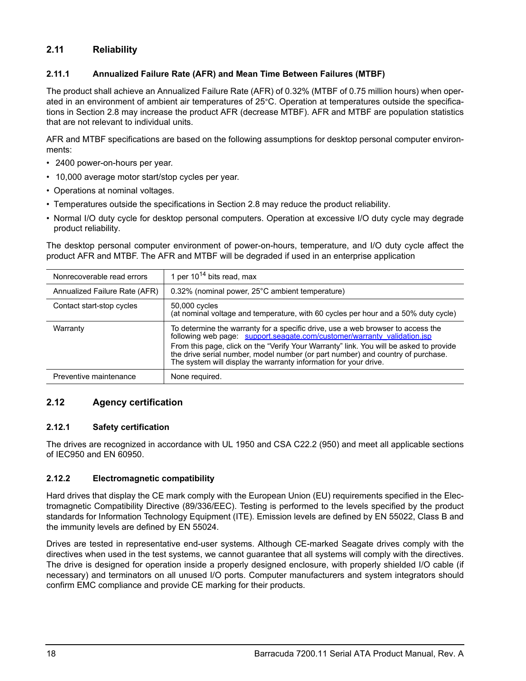## <span id="page-23-33"></span><span id="page-23-0"></span>**2.11 Reliability**

## <span id="page-23-29"></span><span id="page-23-28"></span><span id="page-23-7"></span><span id="page-23-5"></span><span id="page-23-1"></span>**2.11.1 Annualized Failure Rate (AFR) and Mean Time Between Failures (MTBF)**

The product shall achieve an Annualized Failure Rate (AFR) of 0.32% (MTBF of 0.75 million hours) when operated in an environment of ambient air temperatures of 25°C. Operation at temperatures outside the specifications in [Section 2.8](#page-20-0) may increase the product AFR (decrease MTBF). AFR and MTBF are population statistics that are not relevant to individual units.

AFR and MTBF specifications are based on the following assumptions for desktop personal computer environments:

- <span id="page-23-31"></span>• 2400 power-on-hours per year.
- 10,000 average motor start/stop cycles per year.
- Operations at nominal voltages.
- <span id="page-23-23"></span><span id="page-23-14"></span>• Temperatures outside the specifications in [Section 2.8](#page-20-0) may reduce the product reliability.
- Normal I/O duty cycle for desktop personal computers. Operation at excessive I/O duty cycle may degrade product reliability.

The desktop personal computer environment of power-on-hours, temperature, and I/O duty cycle affect the product AFR and MTBF. The AFR and MTBF will be degraded if used in an enterprise application

<span id="page-23-37"></span><span id="page-23-35"></span><span id="page-23-32"></span><span id="page-23-30"></span><span id="page-23-20"></span><span id="page-23-13"></span><span id="page-23-8"></span>

| Nonrecoverable read errors    | 1 per $10^{14}$ bits read, max                                                                                                                                                                                                                                                                                                                                                                               |
|-------------------------------|--------------------------------------------------------------------------------------------------------------------------------------------------------------------------------------------------------------------------------------------------------------------------------------------------------------------------------------------------------------------------------------------------------------|
| Annualized Failure Rate (AFR) | 0.32% (nominal power, 25°C ambient temperature)                                                                                                                                                                                                                                                                                                                                                              |
| Contact start-stop cycles     | 50,000 cycles<br>(at nominal voltage and temperature, with 60 cycles per hour and a 50% duty cycle)                                                                                                                                                                                                                                                                                                          |
| Warranty                      | To determine the warranty for a specific drive, use a web browser to access the<br>following web page: support.seagate.com/customer/warranty_validation.jsp<br>From this page, click on the "Verify Your Warranty" link. You will be asked to provide<br>the drive serial number, model number (or part number) and country of purchase.<br>The system will display the warranty information for your drive. |
| Preventive maintenance        | None required.                                                                                                                                                                                                                                                                                                                                                                                               |

## <span id="page-23-27"></span><span id="page-23-10"></span><span id="page-23-6"></span><span id="page-23-2"></span>**2.12 Agency certification**

### <span id="page-23-34"></span><span id="page-23-3"></span>**2.12.1 Safety certification**

<span id="page-23-36"></span><span id="page-23-24"></span><span id="page-23-19"></span><span id="page-23-12"></span>The drives are recognized in accordance with UL 1950 and CSA C22.2 (950) and meet all applicable sections of IEC950 and EN 60950.

### <span id="page-23-15"></span><span id="page-23-11"></span><span id="page-23-4"></span>**2.12.2 Electromagnetic compatibility**

<span id="page-23-26"></span><span id="page-23-25"></span><span id="page-23-22"></span><span id="page-23-21"></span><span id="page-23-18"></span><span id="page-23-17"></span><span id="page-23-16"></span><span id="page-23-9"></span>Hard drives that display the CE mark comply with the European Union (EU) requirements specified in the Electromagnetic Compatibility Directive (89/336/EEC). Testing is performed to the levels specified by the product standards for Information Technology Equipment (ITE). Emission levels are defined by EN 55022, Class B and the immunity levels are defined by EN 55024.

Drives are tested in representative end-user systems. Although CE-marked Seagate drives comply with the directives when used in the test systems, we cannot guarantee that all systems will comply with the directives. The drive is designed for operation inside a properly designed enclosure, with properly shielded I/O cable (if necessary) and terminators on all unused I/O ports. Computer manufacturers and system integrators should confirm EMC compliance and provide CE marking for their products.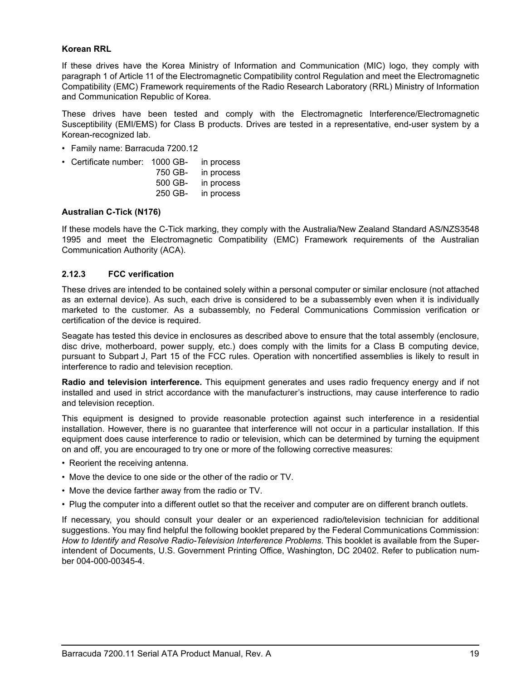#### <span id="page-24-14"></span><span id="page-24-11"></span>**Korean RRL**

<span id="page-24-12"></span><span id="page-24-10"></span><span id="page-24-6"></span><span id="page-24-5"></span>If these drives have the Korea Ministry of Information and Communication (MIC) logo, they comply with paragraph 1 of Article 11 of the Electromagnetic Compatibility control Regulation and meet the Electromagnetic Compatibility (EMC) Framework requirements of the Radio Research Laboratory (RRL) Ministry of Information and Communication Republic of Korea.

These drives have been tested and comply with the Electromagnetic Interference/Electromagnetic Susceptibility (EMI/EMS) for Class B products. Drives are tested in a representative, end-user system by a Korean-recognized lab.

• Family name: Barracuda 7200.12

| • Certificate number: 1000 GB- |         | in process |
|--------------------------------|---------|------------|
|                                | 750 GB- | in process |
|                                | 500 GB- | in process |
|                                | 250 GB- | in process |

#### <span id="page-24-4"></span>**Australian C-Tick (N176)**

<span id="page-24-3"></span><span id="page-24-2"></span><span id="page-24-1"></span>If these models have the C-Tick marking, they comply with the Australia/New Zealand Standard AS/NZS3548 1995 and meet the Electromagnetic Compatibility (EMC) Framework requirements of the Australian Communication Authority (ACA).

### <span id="page-24-8"></span><span id="page-24-0"></span>**2.12.3 FCC verification**

<span id="page-24-15"></span>These drives are intended to be contained solely within a personal computer or similar enclosure (not attached as an external device). As such, each drive is considered to be a subassembly even when it is individually marketed to the customer. As a subassembly, no Federal Communications Commission verification or certification of the device is required.

<span id="page-24-7"></span>Seagate has tested this device in enclosures as described above to ensure that the total assembly (enclosure, disc drive, motherboard, power supply, etc.) does comply with the limits for a Class B computing device, pursuant to Subpart J, Part 15 of the FCC rules. Operation with noncertified assemblies is likely to result in interference to radio and television reception.

<span id="page-24-13"></span><span id="page-24-9"></span>**Radio and television interference.** This equipment generates and uses radio frequency energy and if not installed and used in strict accordance with the manufacturer's instructions, may cause interference to radio and television reception.

This equipment is designed to provide reasonable protection against such interference in a residential installation. However, there is no guarantee that interference will not occur in a particular installation. If this equipment does cause interference to radio or television, which can be determined by turning the equipment on and off, you are encouraged to try one or more of the following corrective measures:

- Reorient the receiving antenna.
- Move the device to one side or the other of the radio or TV.
- Move the device farther away from the radio or TV.
- Plug the computer into a different outlet so that the receiver and computer are on different branch outlets.

If necessary, you should consult your dealer or an experienced radio/television technician for additional suggestions. You may find helpful the following booklet prepared by the Federal Communications Commission: *How to Identify and Resolve Radio-Television Interference Problems*. This booklet is available from the Superintendent of Documents, U.S. Government Printing Office, Washington, DC 20402. Refer to publication number 004-000-00345-4.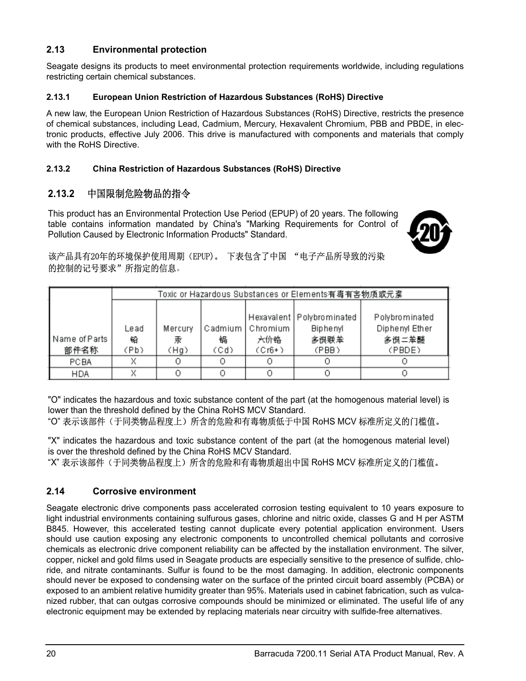## <span id="page-25-0"></span>**2.13 Environmental protection**

Seagate designs its products to meet environmental protection requirements worldwide, including regulations restricting certain chemical substances.

## <span id="page-25-5"></span><span id="page-25-1"></span>**2.13.1 European Union Restriction of Hazardous Substances (RoHS) Directive**

A new law, the European Union Restriction of Hazardous Substances (RoHS) Directive, restricts the presence of chemical substances, including Lead, Cadmium, Mercury, Hexavalent Chromium, PBB and PBDE, in electronic products, effective July 2006. This drive is manufactured with components and materials that comply with the RoHS Directive.

## <span id="page-25-2"></span>**2.13.2 China Restriction of Hazardous Substances (RoHS) Directive**

## 2.13.2 中国限制危险物品的指令

This product has an Environmental Protection Use Period (EPUP) of 20 years. The following table contains information mandated by China's "Marking Requirements for Control of Pollution Caused by Electronic Information Products" Standard.

<span id="page-25-6"></span>

## 该产品具有20年的环境保护使用周期(EPUP)。下表包含了中国"电子产品所导致的污染 的控制的记号要求"所指定的信息。

|                         |                   | Toxic or Hazardous Substances or Elements有毒有害物质或元素 |           |                                       |                                                                 |                                                     |
|-------------------------|-------------------|----------------------------------------------------|-----------|---------------------------------------|-----------------------------------------------------------------|-----------------------------------------------------|
| Name of Parts  <br>部件名称 | Lead<br>铅<br>(Pb) | Mercury<br>汞<br>(Hg)                               | 锅<br>(Cd) | Cadmium   Chromium<br>六价铬<br>$(Cr6+)$ | Hexavalent   Polybrominated<br><b>Biphenyl</b><br>多误联苯<br>(PBB) | Polybrominated<br>Diphenyl Ether<br>多误二苯醚<br>(PBDE) |
| PCBA                    | X                 |                                                    | O         |                                       |                                                                 |                                                     |
| <b>HDA</b>              |                   |                                                    |           |                                       |                                                                 |                                                     |

"O" indicates the hazardous and toxic substance content of the part (at the homogenous material level) is lower than the threshold defined by the China RoHS MCV Standard.

## "O" 表示该部件(于同类物品程度上) 所含的危险和有毒物质低于中国 RoHS MCV 标准所定义的门槛值。

"X" indicates the hazardous and toxic substance content of the part (at the homogenous material level) is over the threshold defined by the China RoHS MCV Standard.

"X" 表示该部件(于同类物品程度上) 所含的危险和有毒物质超出中国 RoHS MCV 标准所定义的门槛值。

## <span id="page-25-4"></span><span id="page-25-3"></span>**2.14 Corrosive environment**

Seagate electronic drive components pass accelerated corrosion testing equivalent to 10 years exposure to light industrial environments containing sulfurous gases, chlorine and nitric oxide, classes G and H per ASTM B845. However, this accelerated testing cannot duplicate every potential application environment. Users should use caution exposing any electronic components to uncontrolled chemical pollutants and corrosive chemicals as electronic drive component reliability can be affected by the installation environment. The silver, copper, nickel and gold films used in Seagate products are especially sensitive to the presence of sulfide, chloride, and nitrate contaminants. Sulfur is found to be the most damaging. In addition, electronic components should never be exposed to condensing water on the surface of the printed circuit board assembly (PCBA) or exposed to an ambient relative humidity greater than 95%. Materials used in cabinet fabrication, such as vulcanized rubber, that can outgas corrosive compounds should be minimized or eliminated. The useful life of any electronic equipment may be extended by replacing materials near circuitry with sulfide-free alternatives.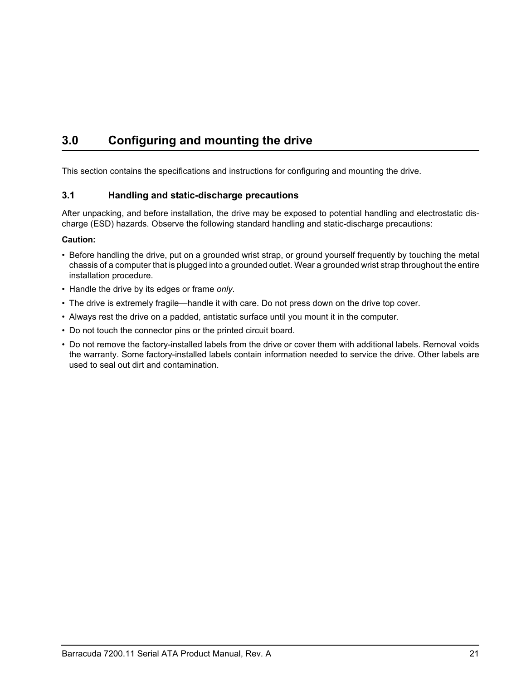# <span id="page-26-6"></span><span id="page-26-2"></span><span id="page-26-0"></span>**3.0 Configuring and mounting the drive**

This section contains the specifications and instructions for configuring and mounting the drive.

## <span id="page-26-9"></span><span id="page-26-7"></span><span id="page-26-5"></span><span id="page-26-1"></span>**3.1 Handling and static-discharge precautions**

<span id="page-26-4"></span><span id="page-26-3"></span>After unpacking, and before installation, the drive may be exposed to potential handling and electrostatic discharge (ESD) hazards. Observe the following standard handling and static-discharge precautions:

## **Caution:**

- Before handling the drive, put on a grounded wrist strap, or ground yourself frequently by touching the metal chassis of a computer that is plugged into a grounded outlet. Wear a grounded wrist strap throughout the entire installation procedure.
- Handle the drive by its edges or frame *only*.
- The drive is extremely fragile—handle it with care. Do not press down on the drive top cover.
- Always rest the drive on a padded, antistatic surface until you mount it in the computer.
- <span id="page-26-8"></span>• Do not touch the connector pins or the printed circuit board.
- Do not remove the factory-installed labels from the drive or cover them with additional labels. Removal voids the warranty. Some factory-installed labels contain information needed to service the drive. Other labels are used to seal out dirt and contamination.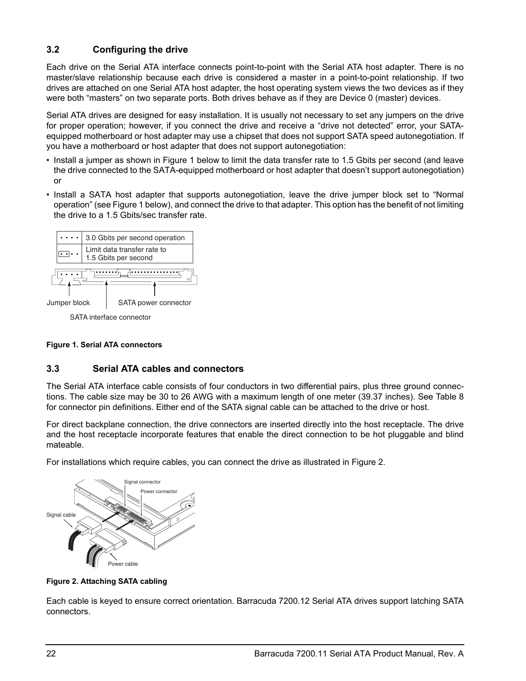## <span id="page-27-6"></span><span id="page-27-0"></span>**3.2 Configuring the drive**

Each drive on the Serial ATA interface connects point-to-point with the Serial ATA host adapter. There is no master/slave relationship because each drive is considered a master in a point-to-point relationship. If two drives are attached on one Serial ATA host adapter, the host operating system views the two devices as if they were both "masters" on two separate ports. Both drives behave as if they are Device 0 (master) devices.

Serial ATA drives are designed for easy installation. It is usually not necessary to set any jumpers on the drive for proper operation; however, if you connect the drive and receive a "drive not detected" error, your SATAequipped motherboard or host adapter may use a chipset that does not support SATA speed autonegotiation. If you have a motherboard or host adapter that does not support autonegotiation:

- Install a jumper as shown in Figure [1](#page-27-2) below to limit the data transfer rate to 1.5 Gbits per second (and leave the drive connected to the SATA-equipped motherboard or host adapter that doesn't support autonegotiation) or
- Install a SATA host adapter that supports autonegotiation, leave the drive jumper block set to "Normal operation" (see Figure [1](#page-27-2) below), and connect the drive to that adapter. This option has the benefit of not limiting the drive to a 1.5 Gbits/sec transfer rate.



<span id="page-27-5"></span><span id="page-27-4"></span>SATA interface connector

### <span id="page-27-2"></span>**Figure 1. Serial ATA connectors**

## <span id="page-27-1"></span>**3.3 Serial ATA cables and connectors**

The Serial ATA interface cable consists of four conductors in two differential pairs, plus three ground connections. The cable size may be 30 to 26 AWG with a maximum length of one meter (39.37 inches). See Table 8 for connector pin definitions. Either end of the SATA signal cable can be attached to the drive or host.

For direct backplane connection, the drive connectors are inserted directly into the host receptacle. The drive and the host receptacle incorporate features that enable the direct connection to be hot pluggable and blind mateable.

For installations which require cables, you can connect the drive as illustrated in Figure [2](#page-27-3).



<span id="page-27-3"></span>**Figure 2. Attaching SATA cabling**

Each cable is keyed to ensure correct orientation. Barracuda 7200.12 Serial ATA drives support latching SATA connectors.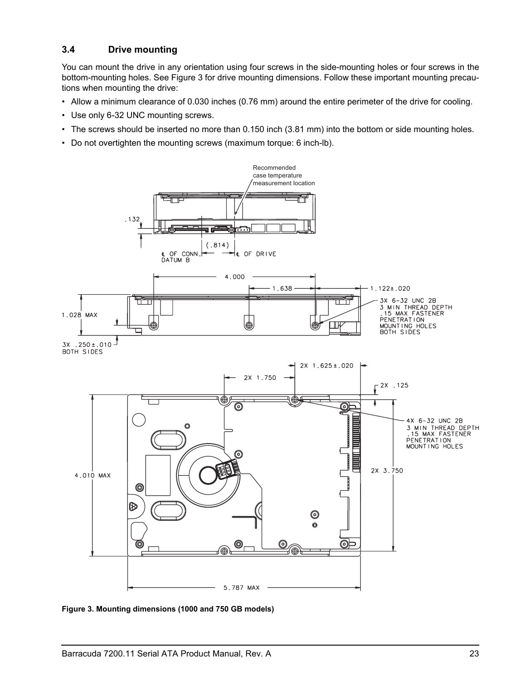## <span id="page-28-3"></span><span id="page-28-0"></span>**3.4 Drive mounting**

You can mount the drive in any orientation using four screws in the side-mounting holes or four screws in the bottom-mounting holes. See Figure [3](#page-28-1) for drive mounting dimensions. Follow these important mounting precautions when mounting the drive:

- Allow a minimum clearance of 0.030 inches (0.76 mm) around the entire perimeter of the drive for cooling.
- Use only 6-32 UNC mounting screws.
- The screws should be inserted no more than 0.150 inch (3.81 mm) into the bottom or side mounting holes.
- Do not overtighten the mounting screws (maximum torque: 6 inch-lb).



<span id="page-28-2"></span><span id="page-28-1"></span>**Figure 3. Mounting dimensions (1000 and 750 GB models)**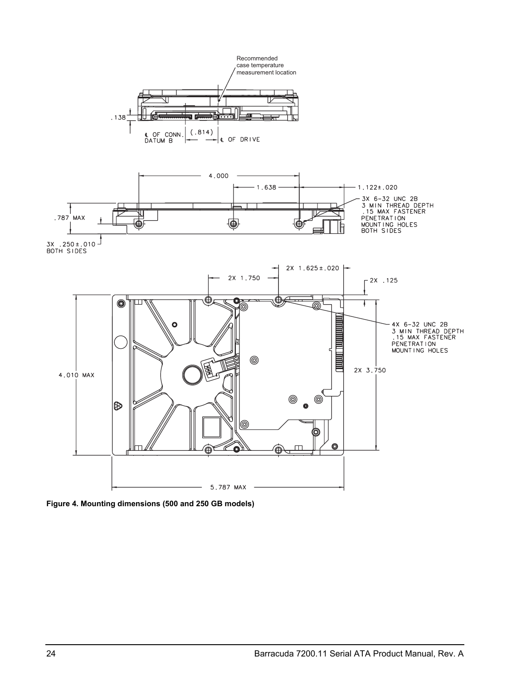

<span id="page-29-1"></span><span id="page-29-0"></span>**Figure 4. Mounting dimensions (500 and 250 GB models)**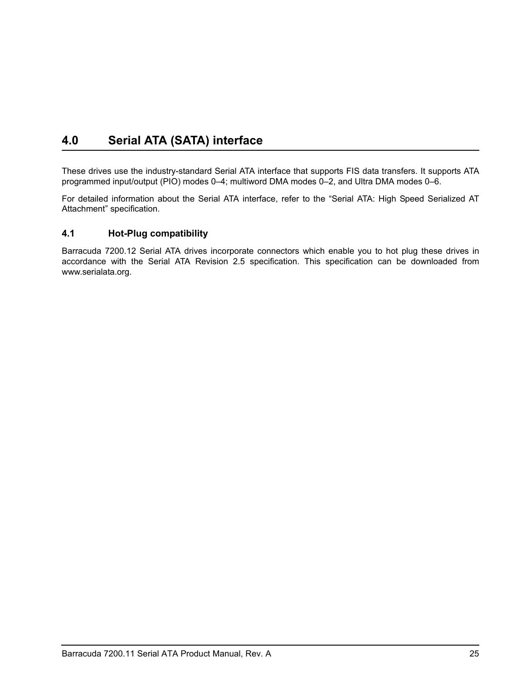# <span id="page-30-4"></span><span id="page-30-3"></span><span id="page-30-2"></span><span id="page-30-0"></span>**4.0 Serial ATA (SATA) interface**

These drives use the industry-standard Serial ATA interface that supports FIS data transfers. It supports ATA programmed input/output (PIO) modes 0–4; multiword DMA modes 0–2, and Ultra DMA modes 0–6.

For detailed information about the Serial ATA interface, refer to the "Serial ATA: High Speed Serialized AT Attachment" specification.

## <span id="page-30-1"></span>**4.1 Hot-Plug compatibility**

Barracuda 7200.12 Serial ATA drives incorporate connectors which enable you to hot plug these drives in accordance with the Serial ATA Revision 2.5 specification. This specification can be downloaded from www.serialata.org.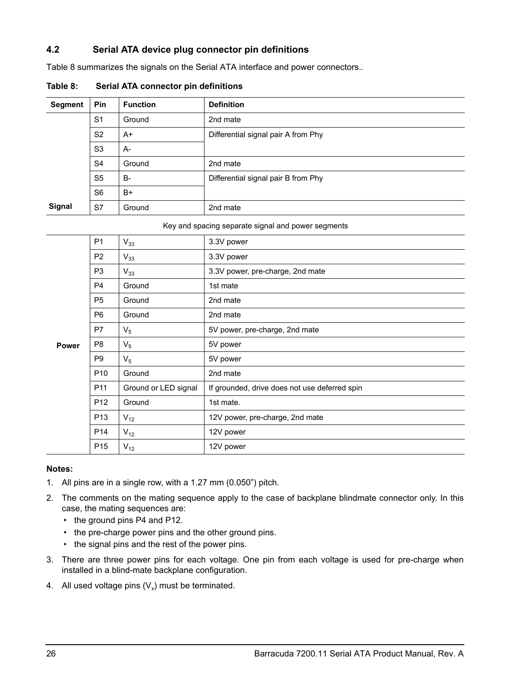## <span id="page-31-0"></span>**4.2 Serial ATA device plug connector pin definitions**

Table 8 summarizes the signals on the Serial ATA interface and power connectors.*.*

| <b>Segment</b> | Pin            | <b>Function</b> | <b>Definition</b>                   |
|----------------|----------------|-----------------|-------------------------------------|
|                | S <sub>1</sub> | Ground          | 2nd mate                            |
|                | S <sub>2</sub> | $A+$            | Differential signal pair A from Phy |
|                | S <sub>3</sub> | $A-$            |                                     |
|                | S <sub>4</sub> | Ground          | 2nd mate                            |
|                | S <sub>5</sub> | <b>B-</b>       | Differential signal pair B from Phy |
|                | S <sub>6</sub> | $B+$            |                                     |
| Signal         | S7             | Ground          | 2nd mate                            |

**Table 8: Serial ATA connector pin definitions**

#### Key and spacing separate signal and power segments

|       | P <sub>1</sub>  | $V_{33}$             | 3.3V power                                    |
|-------|-----------------|----------------------|-----------------------------------------------|
|       | P <sub>2</sub>  | $V_{33}$             | 3.3V power                                    |
|       | P <sub>3</sub>  | $V_{33}$             | 3.3V power, pre-charge, 2nd mate              |
|       | <b>P4</b>       | Ground               | 1st mate                                      |
|       | P <sub>5</sub>  | Ground               | 2nd mate                                      |
|       | P <sub>6</sub>  | Ground               | 2nd mate                                      |
|       | P7              | $V_5$                | 5V power, pre-charge, 2nd mate                |
| Power | P <sub>8</sub>  | $V_5$                | 5V power                                      |
|       | P <sub>9</sub>  | $V_5$                | 5V power                                      |
|       | P <sub>10</sub> | Ground               | 2nd mate                                      |
|       | P <sub>11</sub> | Ground or LED signal | If grounded, drive does not use deferred spin |
|       | P <sub>12</sub> | Ground               | 1st mate.                                     |
|       | P <sub>13</sub> | $V_{12}$             | 12V power, pre-charge, 2nd mate               |
|       | P <sub>14</sub> | $V_{12}$             | 12V power                                     |
|       | P <sub>15</sub> | $V_{12}$             | 12V power                                     |

#### **Notes:**

- 1. All pins are in a single row, with a 1.27 mm (0.050") pitch.
- 2. The comments on the mating sequence apply to the case of backplane blindmate connector only. In this case, the mating sequences are:
	- the ground pins P4 and P12.
	- the pre-charge power pins and the other ground pins.
	- the signal pins and the rest of the power pins.
- 3. There are three power pins for each voltage. One pin from each voltage is used for pre-charge when installed in a blind-mate backplane configuration.
- 4. All used voltage pins  $(V_x)$  must be terminated.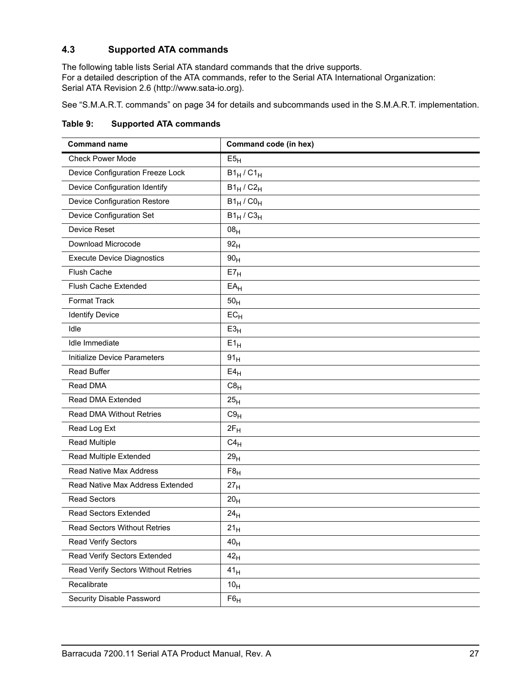## <span id="page-32-1"></span><span id="page-32-0"></span>**4.3 Supported ATA commands**

The following table lists Serial ATA standard commands that the drive supports. For a detailed description of the ATA commands, refer to the Serial ATA International Organization: Serial ATA Revision 2.6 (http://www.sata-io.org).

<span id="page-32-35"></span><span id="page-32-33"></span>[See "S.M.A.R.T. commands" on page 34](#page-39-0) for details and subcommands used in the S.M.A.R.T. implementation.

| Table 9: | <b>Supported ATA commands</b> |
|----------|-------------------------------|
|----------|-------------------------------|

<span id="page-32-34"></span><span id="page-32-32"></span><span id="page-32-31"></span><span id="page-32-30"></span><span id="page-32-29"></span><span id="page-32-28"></span><span id="page-32-27"></span><span id="page-32-26"></span><span id="page-32-25"></span><span id="page-32-24"></span><span id="page-32-23"></span><span id="page-32-22"></span><span id="page-32-21"></span><span id="page-32-20"></span><span id="page-32-19"></span><span id="page-32-18"></span><span id="page-32-17"></span><span id="page-32-16"></span><span id="page-32-15"></span><span id="page-32-14"></span><span id="page-32-13"></span><span id="page-32-12"></span><span id="page-32-11"></span><span id="page-32-10"></span><span id="page-32-9"></span><span id="page-32-8"></span><span id="page-32-7"></span><span id="page-32-6"></span><span id="page-32-5"></span><span id="page-32-4"></span><span id="page-32-3"></span><span id="page-32-2"></span>

| <b>Command name</b>                 | Command code (in hex) |  |
|-------------------------------------|-----------------------|--|
| <b>Check Power Mode</b>             | E5 <sub>H</sub>       |  |
| Device Configuration Freeze Lock    | $B1_H$ / $C1_H$       |  |
| Device Configuration Identify       | $B1_H / C2_H$         |  |
| Device Configuration Restore        | $B1_H / CO_H$         |  |
| Device Configuration Set            | $B1_H / C3_H$         |  |
| Device Reset                        | 08 <sub>H</sub>       |  |
| Download Microcode                  | 92 <sub>H</sub>       |  |
| <b>Execute Device Diagnostics</b>   | 90 <sub>H</sub>       |  |
| Flush Cache                         | E7 <sub>H</sub>       |  |
| <b>Flush Cache Extended</b>         | $EA_H$                |  |
| Format Track                        | 50 <sub>H</sub>       |  |
| <b>Identify Device</b>              | $EC_{H}$              |  |
| Idle                                | E3 <sub>H</sub>       |  |
| Idle Immediate                      | $E1_H$                |  |
| Initialize Device Parameters        | 91 <sub>H</sub>       |  |
| <b>Read Buffer</b>                  | E4 <sub>H</sub>       |  |
| Read DMA                            | C8 <sub>H</sub>       |  |
| Read DMA Extended                   | 25 <sub>H</sub>       |  |
| Read DMA Without Retries            | C9 <sub>H</sub>       |  |
| Read Log Ext                        | $2F_H$                |  |
| <b>Read Multiple</b>                | $C4_H$                |  |
| Read Multiple Extended              | 29 <sub>H</sub>       |  |
| Read Native Max Address             | F8 <sub>H</sub>       |  |
| Read Native Max Address Extended    | 27 <sub>H</sub>       |  |
| <b>Read Sectors</b>                 | 20 <sub>H</sub>       |  |
| <b>Read Sectors Extended</b>        | 24 <sub>H</sub>       |  |
| <b>Read Sectors Without Retries</b> | $21_H$                |  |
| <b>Read Verify Sectors</b>          | 40 <sub>H</sub>       |  |
| Read Verify Sectors Extended        | 42 <sub>H</sub>       |  |
| Read Verify Sectors Without Retries | 41 <sub>H</sub>       |  |
| Recalibrate                         | 10 <sub>H</sub>       |  |
| Security Disable Password           | $F6_H$                |  |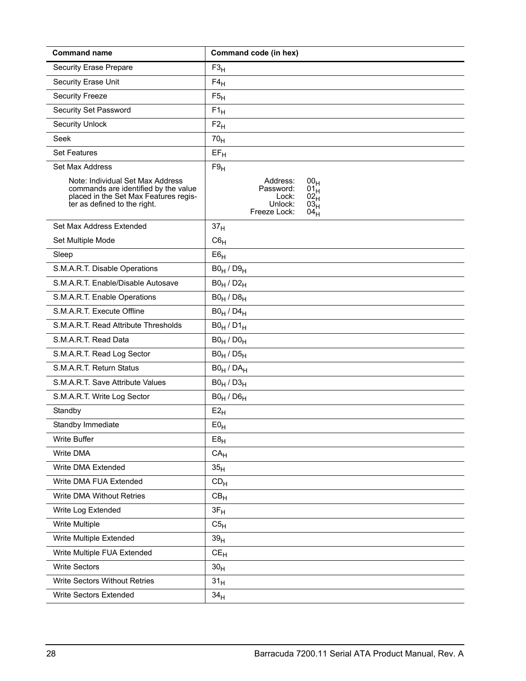<span id="page-33-34"></span><span id="page-33-33"></span><span id="page-33-32"></span><span id="page-33-31"></span><span id="page-33-30"></span><span id="page-33-29"></span><span id="page-33-28"></span><span id="page-33-27"></span><span id="page-33-26"></span><span id="page-33-25"></span><span id="page-33-24"></span><span id="page-33-23"></span><span id="page-33-22"></span><span id="page-33-21"></span><span id="page-33-20"></span><span id="page-33-19"></span><span id="page-33-18"></span><span id="page-33-17"></span><span id="page-33-16"></span><span id="page-33-15"></span><span id="page-33-14"></span><span id="page-33-13"></span><span id="page-33-12"></span><span id="page-33-11"></span><span id="page-33-10"></span><span id="page-33-9"></span><span id="page-33-8"></span><span id="page-33-7"></span><span id="page-33-6"></span><span id="page-33-5"></span><span id="page-33-4"></span><span id="page-33-3"></span><span id="page-33-2"></span><span id="page-33-1"></span><span id="page-33-0"></span>

| <b>Command name</b>                                                                                                                               | Command code (in hex)                                                                                                                           |
|---------------------------------------------------------------------------------------------------------------------------------------------------|-------------------------------------------------------------------------------------------------------------------------------------------------|
| <b>Security Erase Prepare</b>                                                                                                                     | $F3_H$                                                                                                                                          |
| Security Erase Unit                                                                                                                               | $F4_H$                                                                                                                                          |
| <b>Security Freeze</b>                                                                                                                            | F5 <sub>H</sub>                                                                                                                                 |
| Security Set Password                                                                                                                             | $F1_H$                                                                                                                                          |
| <b>Security Unlock</b>                                                                                                                            | $F2_H$                                                                                                                                          |
| Seek                                                                                                                                              | 70 <sub>H</sub>                                                                                                                                 |
| <b>Set Features</b>                                                                                                                               | $EF_H$                                                                                                                                          |
| Set Max Address                                                                                                                                   | F9 <sub>H</sub>                                                                                                                                 |
| Note: Individual Set Max Address<br>commands are identified by the value<br>placed in the Set Max Features regis-<br>ter as defined to the right. | Address:<br>00 <sub>H</sub><br>Password:<br>01 <sub>H</sub><br>Lock:<br>$02_H$<br>Unlock:<br>03 <sub>H</sub><br>Freeze Lock:<br>04 <sub>H</sub> |
| Set Max Address Extended                                                                                                                          | 37 <sub>H</sub>                                                                                                                                 |
| Set Multiple Mode                                                                                                                                 | $C6_H$                                                                                                                                          |
| Sleep                                                                                                                                             | E6 <sub>H</sub>                                                                                                                                 |
| S.M.A.R.T. Disable Operations                                                                                                                     | $B0_H / D9_H$                                                                                                                                   |
| S.M.A.R.T. Enable/Disable Autosave                                                                                                                | $B0_H / D2_H$                                                                                                                                   |
| S.M.A.R.T. Enable Operations                                                                                                                      | $B0_H / D8_H$                                                                                                                                   |
| S.M.A.R.T. Execute Offline                                                                                                                        | $B0_H / D4_H$                                                                                                                                   |
| S.M.A.R.T. Read Attribute Thresholds                                                                                                              | $B0_H / D1_H$                                                                                                                                   |
| S.M.A.R.T. Read Data                                                                                                                              | $B0_H / D0_H$                                                                                                                                   |
| S.M.A.R.T. Read Log Sector                                                                                                                        | $B0_H / D5_H$                                                                                                                                   |
| S.M.A.R.T. Return Status                                                                                                                          | $B0_H / DA_H$                                                                                                                                   |
| S.M.A.R.T. Save Attribute Values                                                                                                                  | $B0_H / D3_H$                                                                                                                                   |
| S.M.A.R.T. Write Log Sector                                                                                                                       | $B0_H / D6_H$                                                                                                                                   |
| Standby                                                                                                                                           | $E2_H$                                                                                                                                          |
| Standby Immediate                                                                                                                                 | $E0_H$                                                                                                                                          |
| Write Buffer                                                                                                                                      | E8 <sub>H</sub>                                                                                                                                 |
| <b>Write DMA</b>                                                                                                                                  | CA <sub>H</sub>                                                                                                                                 |
| Write DMA Extended                                                                                                                                | 35 <sub>H</sub>                                                                                                                                 |
| Write DMA FUA Extended                                                                                                                            | CD <sub>H</sub>                                                                                                                                 |
| Write DMA Without Retries                                                                                                                         | CB <sub>H</sub>                                                                                                                                 |
| Write Log Extended                                                                                                                                | $3F_H$                                                                                                                                          |
| Write Multiple                                                                                                                                    | C5 <sub>H</sub>                                                                                                                                 |
| Write Multiple Extended                                                                                                                           | 39 <sub>H</sub>                                                                                                                                 |
| Write Multiple FUA Extended                                                                                                                       | $CE_{H}$                                                                                                                                        |
| <b>Write Sectors</b>                                                                                                                              | 30 <sub>H</sub>                                                                                                                                 |
| Write Sectors Without Retries                                                                                                                     | 31 <sub>H</sub>                                                                                                                                 |
| <b>Write Sectors Extended</b>                                                                                                                     | 34 <sub>H</sub>                                                                                                                                 |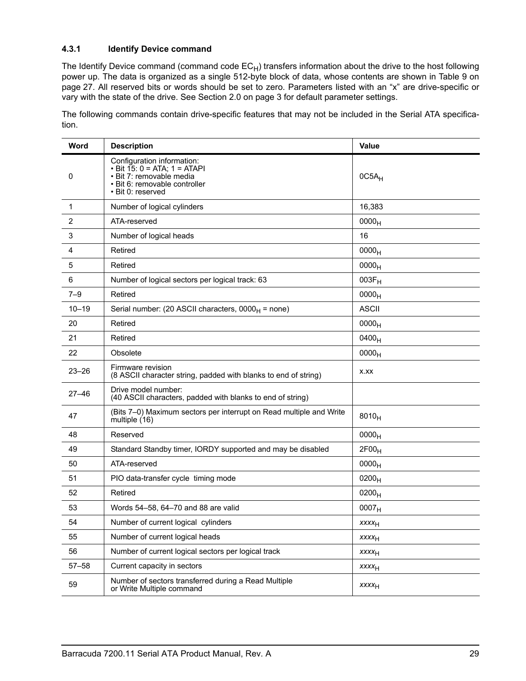## <span id="page-34-1"></span><span id="page-34-0"></span>**4.3.1 Identify Device command**

The Identify Device command (command code  $EC_H$ ) transfers information about the drive to the host following power up. The data is organized as a single 512-byte block of data, whose contents are shown in Table 9 on page 27. All reserved bits or words should be set to zero. Parameters listed with an "x" are drive-specific or vary with the state of the drive. [See Section 2.0 on page 3 f](#page-8-0)or default parameter settings.

The following commands contain drive-specific features that may not be included in the Serial ATA specification.

| Word         | <b>Description</b>                                                                                                                           | Value                    |
|--------------|----------------------------------------------------------------------------------------------------------------------------------------------|--------------------------|
| 0            | Configuration information:<br>• Bit 15: 0 = ATA; 1 = ATAPI<br>• Bit 7: removable media<br>• Bit 6: removable controller<br>• Bit 0: reserved | $0C5A_H$                 |
| $\mathbf{1}$ | Number of logical cylinders                                                                                                                  | 16,383                   |
| 2            | ATA-reserved                                                                                                                                 | 0000 <sub>H</sub>        |
| 3            | Number of logical heads                                                                                                                      | 16                       |
| 4            | Retired                                                                                                                                      | 0000 <sub>H</sub>        |
| 5            | Retired                                                                                                                                      | 0000 <sub>H</sub>        |
| 6            | Number of logical sectors per logical track: 63                                                                                              | $003F_H$                 |
| $7 - 9$      | Retired                                                                                                                                      | 0000 <sub>H</sub>        |
| $10 - 19$    | Serial number: (20 ASCII characters, $0000_H$ = none)                                                                                        | <b>ASCII</b>             |
| 20           | Retired                                                                                                                                      | 0000 <sub>H</sub>        |
| 21           | Retired                                                                                                                                      | 0400 <sub>H</sub>        |
| 22           | Obsolete                                                                                                                                     | 0000 <sub>H</sub>        |
| $23 - 26$    | Firmware revision<br>(8 ASCII character string, padded with blanks to end of string)                                                         | X.XX                     |
| $27 - 46$    | Drive model number:<br>(40 ASCII characters, padded with blanks to end of string)                                                            |                          |
| 47           | (Bits 7-0) Maximum sectors per interrupt on Read multiple and Write<br>multiple (16)                                                         | $8010_H$                 |
| 48           | Reserved                                                                                                                                     | 0000 <sub>H</sub>        |
| 49           | Standard Standby timer, IORDY supported and may be disabled                                                                                  | 2F00 <sub>H</sub>        |
| 50           | ATA-reserved                                                                                                                                 | 0000 <sub>H</sub>        |
| 51           | PIO data-transfer cycle timing mode                                                                                                          | $0200_H$                 |
| 52           | Retired                                                                                                                                      | $0200_H$                 |
| 53           | Words 54-58, 64-70 and 88 are valid                                                                                                          | 0007 <sub>H</sub>        |
| 54           | Number of current logical cylinders                                                                                                          | <b>xxxx</b> <sub>H</sub> |
| 55           | Number of current logical heads                                                                                                              | <b>XXXXH</b>             |
| 56           | Number of current logical sectors per logical track                                                                                          | <b>XXXXH</b>             |
| $57 - 58$    | Current capacity in sectors                                                                                                                  | $xxxx_{H}$               |
| 59           | Number of sectors transferred during a Read Multiple<br>or Write Multiple command                                                            | <b>XXXXH</b>             |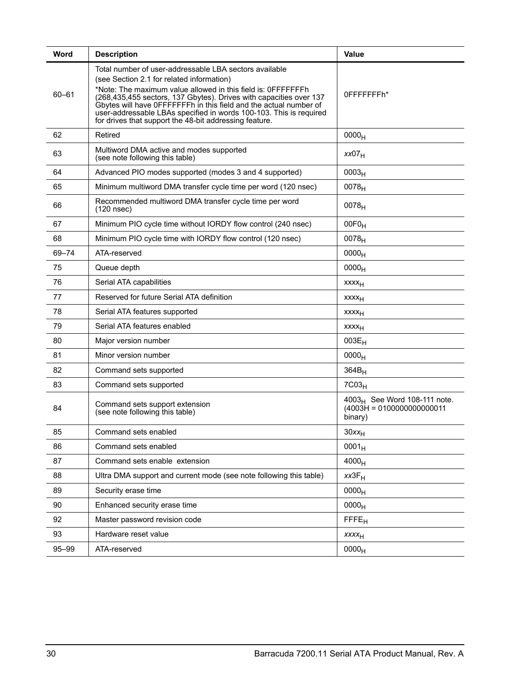| Word      | <b>Description</b>                                                                                                                                                                                                                                                                                                                                                                                                                             | <b>Value</b>                                                              |
|-----------|------------------------------------------------------------------------------------------------------------------------------------------------------------------------------------------------------------------------------------------------------------------------------------------------------------------------------------------------------------------------------------------------------------------------------------------------|---------------------------------------------------------------------------|
| $60 - 61$ | Total number of user-addressable LBA sectors available<br>(see Section 2.1 for related information)<br>*Note: The maximum value allowed in this field is: OFFFFFFFh<br>(268,435,455 sectors, 137 Gbytes). Drives with capacities over 137<br>Gbytes will have OFFFFFFFh in this field and the actual number of<br>user-addressable LBAs specified in words 100-103. This is required<br>for drives that support the 48-bit addressing feature. | 0FFFFFFFFh*                                                               |
| 62        | Retired                                                                                                                                                                                                                                                                                                                                                                                                                                        | 0000 <sub>H</sub>                                                         |
| 63        | Multiword DMA active and modes supported<br>(see note following this table)                                                                                                                                                                                                                                                                                                                                                                    | xx07 <sub>H</sub>                                                         |
| 64        | Advanced PIO modes supported (modes 3 and 4 supported)                                                                                                                                                                                                                                                                                                                                                                                         | 0003 <sub>H</sub>                                                         |
| 65        | Minimum multiword DMA transfer cycle time per word (120 nsec)                                                                                                                                                                                                                                                                                                                                                                                  | 0078 <sub>H</sub>                                                         |
| 66        | Recommended multiword DMA transfer cycle time per word<br>(120 nsec)                                                                                                                                                                                                                                                                                                                                                                           | 0078 <sub>H</sub>                                                         |
| 67        | Minimum PIO cycle time without IORDY flow control (240 nsec)                                                                                                                                                                                                                                                                                                                                                                                   | $00F0_H$                                                                  |
| 68        | Minimum PIO cycle time with IORDY flow control (120 nsec)                                                                                                                                                                                                                                                                                                                                                                                      | $0078_H$                                                                  |
| 69-74     | ATA-reserved                                                                                                                                                                                                                                                                                                                                                                                                                                   | 0000 <sub>H</sub>                                                         |
| 75        | Queue depth                                                                                                                                                                                                                                                                                                                                                                                                                                    | 0000 <sub>H</sub>                                                         |
| 76        | Serial ATA capabilities                                                                                                                                                                                                                                                                                                                                                                                                                        | $xxxx_{H}$                                                                |
| 77        | Reserved for future Serial ATA definition                                                                                                                                                                                                                                                                                                                                                                                                      | xxxx <sub>H</sub>                                                         |
| 78        | Serial ATA features supported                                                                                                                                                                                                                                                                                                                                                                                                                  | xxxx <sub>H</sub>                                                         |
| 79        | Serial ATA features enabled                                                                                                                                                                                                                                                                                                                                                                                                                    | xxxx <sub>H</sub>                                                         |
| 80        | Major version number                                                                                                                                                                                                                                                                                                                                                                                                                           | $003E_H$                                                                  |
| 81        | Minor version number                                                                                                                                                                                                                                                                                                                                                                                                                           | 0000 <sub>H</sub>                                                         |
| 82        | Command sets supported                                                                                                                                                                                                                                                                                                                                                                                                                         | $364B_H$                                                                  |
| 83        | Command sets supported                                                                                                                                                                                                                                                                                                                                                                                                                         | $7C03_H$                                                                  |
| 84        | Command sets support extension<br>(see note following this table)                                                                                                                                                                                                                                                                                                                                                                              | $4003_H$ See Word 108-111 note.<br>$(4003H = 0100000000000011$<br>binary) |
| 85        | Command sets enabled                                                                                                                                                                                                                                                                                                                                                                                                                           | $30xx_H$                                                                  |
| 86        | Command sets enabled                                                                                                                                                                                                                                                                                                                                                                                                                           | $0001_H$                                                                  |
| 87        | Command sets enable extension                                                                                                                                                                                                                                                                                                                                                                                                                  | 4000 <sub>H</sub>                                                         |
| 88        | Ultra DMA support and current mode (see note following this table)                                                                                                                                                                                                                                                                                                                                                                             | $xx3F_H$                                                                  |
| 89        | Security erase time                                                                                                                                                                                                                                                                                                                                                                                                                            | 0000 <sub>H</sub>                                                         |
| 90        | Enhanced security erase time                                                                                                                                                                                                                                                                                                                                                                                                                   | 0000 <sub>H</sub>                                                         |
| 92        | Master password revision code                                                                                                                                                                                                                                                                                                                                                                                                                  | <b>FFFE<sub>H</sub></b>                                                   |
| 93        | Hardware reset value                                                                                                                                                                                                                                                                                                                                                                                                                           | xxxx <sub>H</sub>                                                         |
| 95-99     | ATA-reserved                                                                                                                                                                                                                                                                                                                                                                                                                                   | 0000 <sub>H</sub>                                                         |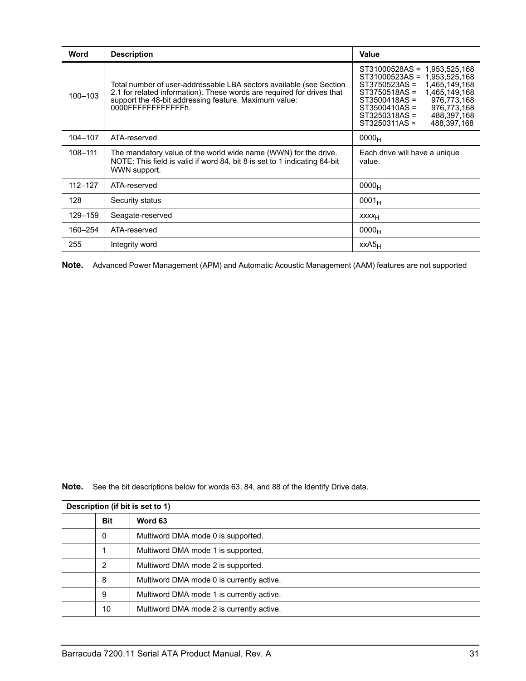| Word        | <b>Description</b>                                                                                                                                                                                                            | Value                                                                                                                                                                                                                                                                    |
|-------------|-------------------------------------------------------------------------------------------------------------------------------------------------------------------------------------------------------------------------------|--------------------------------------------------------------------------------------------------------------------------------------------------------------------------------------------------------------------------------------------------------------------------|
| 100-103     | Total number of user-addressable LBA sectors available (see Section<br>2.1 for related information). These words are required for drives that<br>support the 48-bit addressing feature. Maximum value:<br>0000FFFFFFFFFFFFFh. | ST31000528AS =<br>1,953,525,168<br>ST31000523AS =<br>1,953,525,168<br>1,465,149,168<br>ST3750523AS =<br>1,465,149,168<br>ST3750518AS =<br>976,773,168<br>ST3500418AS =<br>976,773,168<br>$ST3500410AS =$<br>ST3250318AS =<br>488,397,168<br>ST3250311AS =<br>488,397,168 |
| 104-107     | ATA-reserved                                                                                                                                                                                                                  | 0000 <sub>H</sub>                                                                                                                                                                                                                                                        |
| 108-111     | The mandatory value of the world wide name (WWN) for the drive.<br>NOTE: This field is valid if word 84, bit 8 is set to 1 indicating 64-bit<br>WWN support.                                                                  | Each drive will have a unique<br>value.                                                                                                                                                                                                                                  |
| $112 - 127$ | ATA-reserved                                                                                                                                                                                                                  | 0000 <sub>H</sub>                                                                                                                                                                                                                                                        |
| 128         | Security status                                                                                                                                                                                                               | $0001_H$                                                                                                                                                                                                                                                                 |
| 129-159     | Seagate-reserved                                                                                                                                                                                                              | XXXH                                                                                                                                                                                                                                                                     |
| 160-254     | ATA-reserved                                                                                                                                                                                                                  | 0000 <sub>H</sub>                                                                                                                                                                                                                                                        |
| 255         | Integrity word                                                                                                                                                                                                                | xxA5 <sub>H</sub>                                                                                                                                                                                                                                                        |

**Note.** Advanced Power Management (APM) and Automatic Acoustic Management (AAM) features are not supported

**Note.** See the bit descriptions below for words 63, 84, and 88 of the Identify Drive data.

| Word 63<br><b>Bit</b><br>0<br>Multiword DMA mode 0 is supported.<br>Multiword DMA mode 1 is supported.<br>2<br>Multiword DMA mode 2 is supported.<br>8<br>Multiword DMA mode 0 is currently active.<br>9<br>Multiword DMA mode 1 is currently active.<br>10<br>Multiword DMA mode 2 is currently active. | Description (if bit is set to 1) |  |  |  |
|----------------------------------------------------------------------------------------------------------------------------------------------------------------------------------------------------------------------------------------------------------------------------------------------------------|----------------------------------|--|--|--|
|                                                                                                                                                                                                                                                                                                          |                                  |  |  |  |
|                                                                                                                                                                                                                                                                                                          |                                  |  |  |  |
|                                                                                                                                                                                                                                                                                                          |                                  |  |  |  |
|                                                                                                                                                                                                                                                                                                          |                                  |  |  |  |
|                                                                                                                                                                                                                                                                                                          |                                  |  |  |  |
|                                                                                                                                                                                                                                                                                                          |                                  |  |  |  |
|                                                                                                                                                                                                                                                                                                          |                                  |  |  |  |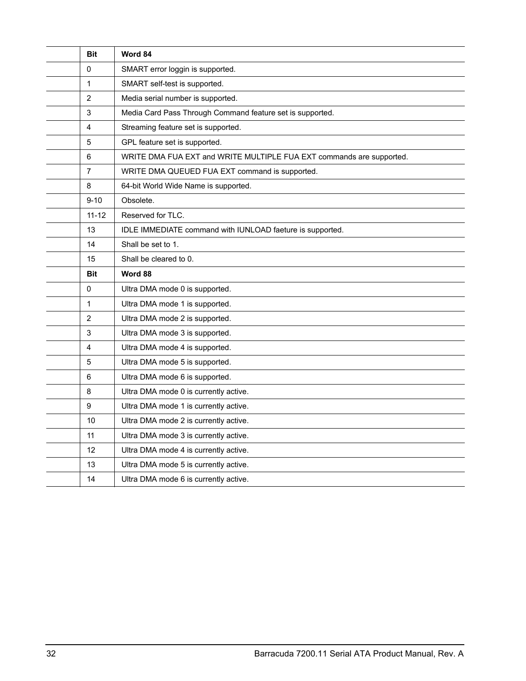| <b>Bit</b>     | Word 84                                                              |
|----------------|----------------------------------------------------------------------|
| 0              | SMART error loggin is supported.                                     |
| $\mathbf{1}$   | SMART self-test is supported.                                        |
| $\overline{2}$ | Media serial number is supported.                                    |
| 3              | Media Card Pass Through Command feature set is supported.            |
| 4              | Streaming feature set is supported.                                  |
| 5              | GPL feature set is supported.                                        |
| 6              | WRITE DMA FUA EXT and WRITE MULTIPLE FUA EXT commands are supported. |
| $\overline{7}$ | WRITE DMA QUEUED FUA EXT command is supported.                       |
| 8              | 64-bit World Wide Name is supported.                                 |
| $9 - 10$       | Obsolete.                                                            |
| $11 - 12$      | Reserved for TLC.                                                    |
| 13             | IDLE IMMEDIATE command with IUNLOAD faeture is supported.            |
| 14             | Shall be set to 1.                                                   |
| 15             | Shall be cleared to 0.                                               |
| <b>Bit</b>     | Word 88                                                              |
|                |                                                                      |
| 0              | Ultra DMA mode 0 is supported.                                       |
| $\mathbf{1}$   | Ultra DMA mode 1 is supported.                                       |
| $\overline{2}$ | Ultra DMA mode 2 is supported.                                       |
| 3              | Ultra DMA mode 3 is supported.                                       |
| 4              | Ultra DMA mode 4 is supported.                                       |
| 5              | Ultra DMA mode 5 is supported.                                       |
| 6              | Ultra DMA mode 6 is supported.                                       |
| 8              | Ultra DMA mode 0 is currently active.                                |
| 9              | Ultra DMA mode 1 is currently active.                                |
| 10             | Ultra DMA mode 2 is currently active.                                |
| 11             | Ultra DMA mode 3 is currently active.                                |
| 12             | Ultra DMA mode 4 is currently active.                                |
| 13             | Ultra DMA mode 5 is currently active.                                |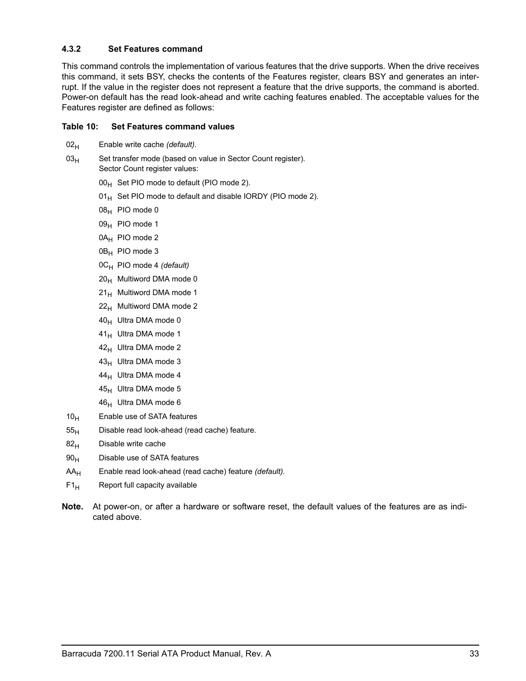## <span id="page-38-0"></span>**4.3.2 Set Features command**

This command controls the implementation of various features that the drive supports. When the drive receives this command, it sets BSY, checks the contents of the Features register, clears BSY and generates an interrupt. If the value in the register does not represent a feature that the drive supports, the command is aborted. Power-on default has the read look-ahead and write caching features enabled. The acceptable values for the Features register are defined as follows:

#### **Table 10: Set Features command values**

- 02<sub>H</sub> Enable write cache *(default)*.
- $03<sub>H</sub>$  Set transfer mode (based on value in Sector Count register). Sector Count register values:
	- $00_H$  Set PIO mode to default (PIO mode 2).
	- $01_H$  Set PIO mode to default and disable IORDY (PIO mode 2).
	- $08_H$  PIO mode 0
	- 09<sub>H</sub> PIO mode 1
	- 0A<sub>H</sub> PIO mode 2
	- $0B_H$  PIO mode 3
	- 0CH PIO mode 4 *(default)*
	- $20<sub>H</sub>$  Multiword DMA mode 0
	- $21_H$  Multiword DMA mode 1
	- $22<sub>H</sub>$  Multiword DMA mode 2
	- $40_H$  Ultra DMA mode 0
	- $41_H$  Ultra DMA mode 1
	- $42_H$  Ultra DMA mode 2
	- $43_H$  Ultra DMA mode 3
	- $44_H$  Ultra DMA mode 4
	- $45_H$  Ultra DMA mode 5
	- $46_H$  Ultra DMA mode 6
- $10<sub>H</sub>$  Enable use of SATA features
- $55<sub>H</sub>$  Disable read look-ahead (read cache) feature.
- $82<sub>H</sub>$  Disable write cache
- $90<sub>H</sub>$  Disable use of SATA features
- AAH Enable read look-ahead (read cache) feature *(default).*
- $F1_H$  Report full capacity available
- **Note.** At power-on, or after a hardware or software reset, the default values of the features are as indicated above.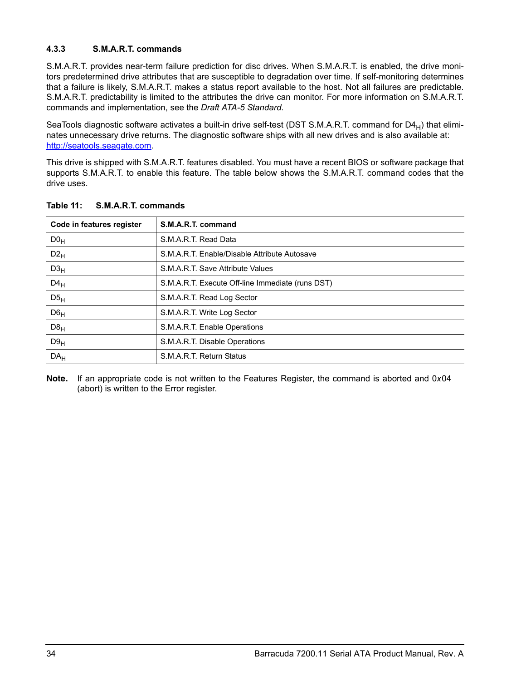## <span id="page-39-0"></span>**4.3.3 S.M.A.R.T. commands**

S.M.A.R.T. provides near-term failure prediction for disc drives. When S.M.A.R.T. is enabled, the drive monitors predetermined drive attributes that are susceptible to degradation over time. If self-monitoring determines that a failure is likely, S.M.A.R.T. makes a status report available to the host. Not all failures are predictable. S.M.A.R.T. predictability is limited to the attributes the drive can monitor. For more information on S.M.A.R.T. commands and implementation, see the *Draft ATA-5 Standard.*

SeaTools diagnostic software activates a built-in drive self-test (DST S.M.A.R.T. command for D4 $_H$ ) that eliminates unnecessary drive returns. The diagnostic software ships with all new drives and is also available at: http://seatools.seagate.com.

This drive is shipped with S.M.A.R.T. features disabled. You must have a recent BIOS or software package that supports S.M.A.R.T. to enable this feature. The table below shows the S.M.A.R.T. command codes that the drive uses.

| Code in features register | S.M.A.R.T. command                               |
|---------------------------|--------------------------------------------------|
| DO <sub>H</sub>           | S.M.A.R.T. Read Data                             |
| $D2_H$                    | S.M.A.R.T. Enable/Disable Attribute Autosave     |
| D3 <sub>H</sub>           | S.M.A.R.T. Save Attribute Values                 |
| $D4_H$                    | S.M.A.R.T. Execute Off-line Immediate (runs DST) |
| D5 <sub>H</sub>           | S.M.A.R.T. Read Log Sector                       |
| D6 <sub>H</sub>           | S.M.A.R.T. Write Log Sector                      |
| $D8_H$                    | S.M.A.R.T. Enable Operations                     |
| D9 <sub>H</sub>           | S.M.A.R.T. Disable Operations                    |
| DA <sub>H</sub>           | S.M.A.R.T. Return Status                         |

**Table 11: S.M.A.R.T. commands**

**Note.** If an appropriate code is not written to the Features Register, the command is aborted and 0*x*04 (abort) is written to the Error register.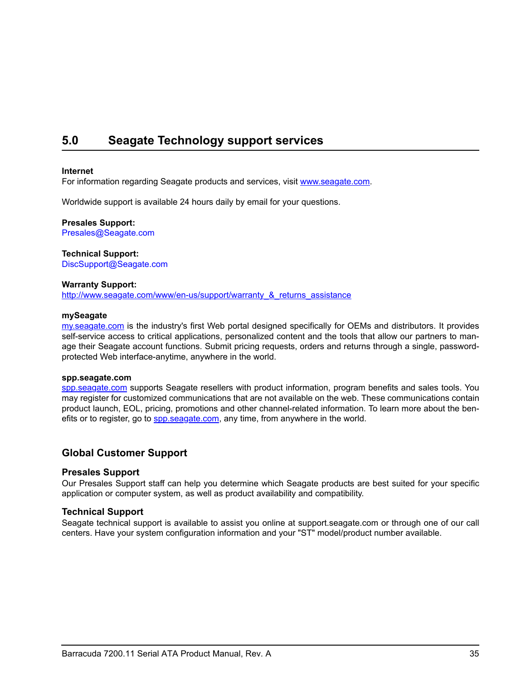# <span id="page-40-1"></span><span id="page-40-0"></span>**5.0 Seagate Technology support services**

#### **Internet**

For information regarding Seagate products and services, visit [www.seag](http://www.seagate.com)ate.com.

Worldwide support is available 24 hours daily by email for your questions.

**Presales Support:**  Presales@Seagate.com

**Technical Support:** DiscSupport@Seagate.com

#### **Warranty Support:**

[http://www.seag](http://www.seagate.com/www/en-us/support/warranty_&_returns_assistance)ate.com/www/en-us/support/warranty\_&\_returns\_assistance

#### **mySeagate**

[my.sea](http://www.seagate.com)gate.com is the industry's first Web portal designed specifically for OEMs and distributors. It provides self-service access to critical applications, personalized content and the tools that allow our partners to manage their Seagate account functions. Submit pricing requests, orders and returns through a single, passwordprotected Web interface-anytime, anywhere in the world.

#### **spp.seagate.com**

[spp.seag](http://spp.seagate.com)ate.com supports Seagate resellers with product information, program benefits and sales tools. You may register for customized communications that are not available on the web. These communications contain product launch, EOL, pricing, promotions and other channel-related information. To learn more about the benefits or to register, go to [spp.sea](http://spp.seagate.com)gate.com, any time, from anywhere in the world.

## **Global Customer Support**

#### **Presales Support**

Our Presales Support staff can help you determine which Seagate products are best suited for your specific application or computer system, as well as product availability and compatibility.

#### **Technical Support**

Seagate technical support is available to assist you online at support.seagate.com or through one of our call centers. Have your system configuration information and your "ST" model/product number available.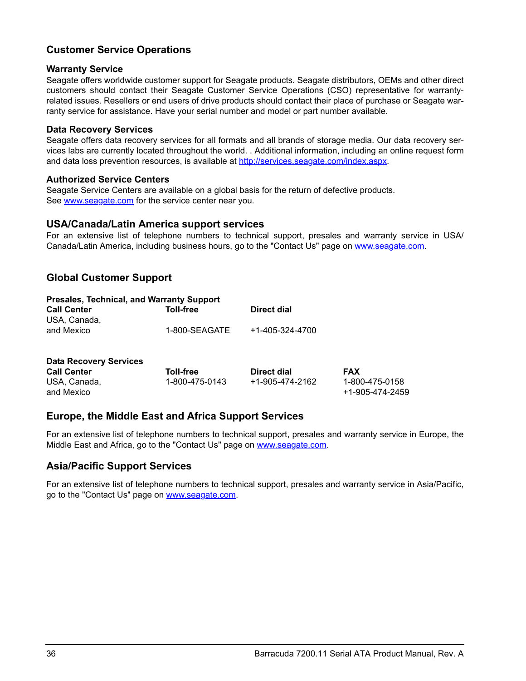## **Customer Service Operations**

## **Warranty Service**

Seagate offers worldwide customer support for Seagate products. Seagate distributors, OEMs and other direct customers should contact their Seagate Customer Service Operations (CSO) representative for warrantyrelated issues. Resellers or end users of drive products should contact their place of purchase or Seagate warranty service for assistance. Have your serial number and model or part number available.

## **Data Recovery Services**

Seagate offers data recovery services for all formats and all brands of storage media. Our data recovery services labs are currently located throughout the world. . Additional information, including an online request form and data loss prevention resources, is available at [http://services.seag](http://services.seagate.com/index.aspx)ate.com/index.aspx.

## **Authorized Service Centers**

Seagate Service Centers are available on a global basis for the return of defective products. See [www.seag](http://www.seagate.com)ate.com for the service center near you.

## **USA/Canada/Latin America support services**

For an extensive list of telephone numbers to technical support, presales and warranty service in USA/ Canada/Latin America, including business hours, go to the "Contact Us" page on [www.sea](http://www.seagate.com)gate.com.

## **Global Customer Support**

| <b>Presales, Technical, and Warranty Support</b> |               |                 |  |  |  |
|--------------------------------------------------|---------------|-----------------|--|--|--|
| <b>Call Center</b>                               | Toll-free     | Direct dial     |  |  |  |
| USA, Canada.                                     |               |                 |  |  |  |
| and Mexico                                       | 1-800-SEAGATE | +1-405-324-4700 |  |  |  |
|                                                  |               |                 |  |  |  |
|                                                  |               |                 |  |  |  |

| <b>Data Recovery Services</b> |                |                 |                                   |
|-------------------------------|----------------|-----------------|-----------------------------------|
| <b>Call Center</b>            | Toll-free      | Direct dial     | <b>FAX</b>                        |
| USA, Canada,<br>and Mexico    | 1-800-475-0143 | +1-905-474-2162 | 1-800-475-0158<br>+1-905-474-2459 |

## **Europe, the Middle East and Africa Support Services**

For an extensive list of telephone numbers to technical support, presales and warranty service in Europe, the Middle East and Africa, go to the "Contact Us" page on [www.sea](http://www.seagate.com)gate.com.

## **Asia/Pacific Support Services**

For an extensive list of telephone numbers to technical support, presales and warranty service in Asia/Pacific, go to the "Contact Us" page on [www.seag](http://www.seagate.com)ate.com.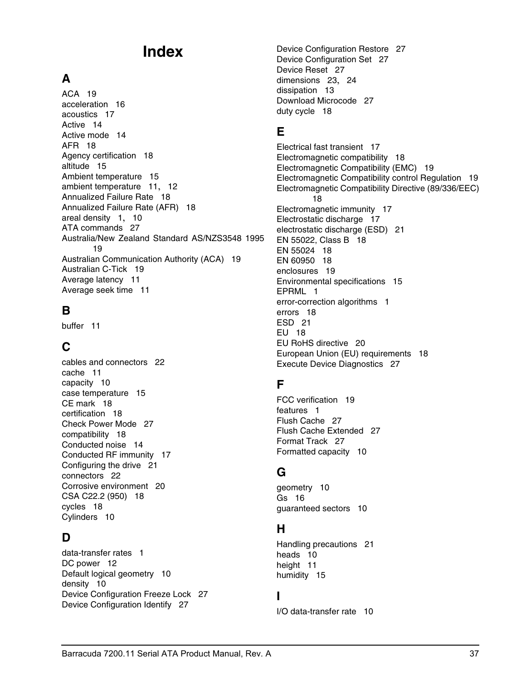# **Index**

# **A**

ACA [19](#page-24-1) acceleration [16](#page-21-1) acoustics [17](#page-22-3) Active [14](#page-19-3) Active mode [14](#page-19-4) AFR [18](#page-23-5) Agency certification [18](#page-23-6) altitude [15](#page-20-6) Ambient temperature [15](#page-20-7) ambient temperature [11](#page-16-2), [12](#page-17-3) Annualized Failure Rate [18](#page-23-7) Annualized Failure Rate (AFR) [18](#page-23-8) areal density [1](#page-6-1), [10](#page-15-4) ATA commands [27](#page-32-1) Australia/New Zealand Standard AS/NZS3548 1995 [19](#page-24-2) Australian Communication Authority (ACA) [19](#page-24-3) Australian C-Tick [19](#page-24-4) Average latency [11](#page-16-3) Average seek time [11](#page-16-4)

## **B**

buffer [11](#page-16-5)

# **C**

cables and connectors [22](#page-27-4) cache [11](#page-16-6) capacity [10](#page-15-5) case temperature [15](#page-20-8) CE mark [18](#page-23-9) certification [18](#page-23-10) Check Power Mode [27](#page-32-2) compatibility [18](#page-23-11) Conducted noise [14](#page-19-5) Conducted RF immunity [17](#page-22-4) Configuring the drive [21](#page-26-2) connectors [22](#page-27-5) Corrosive environment [20](#page-25-4) CSA C22.2 (950) [18](#page-23-12) cycles [18](#page-23-13) Cylinders [10](#page-15-6)

# **D**

data-transfer rates [1](#page-6-2) DC power [12](#page-17-4) Default logical geometry [10](#page-15-7) density [10](#page-15-8) Device Configuration Freeze Lock [27](#page-32-3) Device Configuration Identify [27](#page-32-4)

Device Configuration Restore [27](#page-32-5) Device Configuration Set [27](#page-32-6) Device Reset [27](#page-32-7) dimensions [23](#page-28-2), [24](#page-29-1) dissipation [13](#page-18-0) Download Microcode [27](#page-32-8) duty cycle [18](#page-23-14)

# **E**

Electrical fast transient [17](#page-22-5) Electromagnetic compatibility [18](#page-23-15) Electromagnetic Compatibility (EMC) [19](#page-24-5) Electromagnetic Compatibility control Regulation [19](#page-24-6) Electromagnetic Compatibility Directive (89/336/EEC)  [18](#page-23-16) Electromagnetic immunity [17](#page-22-6) Electrostatic discharge [17](#page-22-7) electrostatic discharge (ESD) [21](#page-26-3) EN 55022, Class B [18](#page-23-17) EN 55024 [18](#page-23-18) EN 60950 [18](#page-23-19) enclosures [19](#page-24-7) Environmental specifications [15](#page-20-9) EPRML [1](#page-6-3) error-correction algorithms [1](#page-6-4) errors [18](#page-23-20) ESD [21](#page-26-4) EU [18](#page-23-21) EU RoHS directive [20](#page-25-5) European Union (EU) requirements [18](#page-23-22) Execute Device Diagnostics [27](#page-32-9)

# **F**

FCC verification [19](#page-24-8) features [1](#page-6-5) Flush Cache [27](#page-32-10) Flush Cache Extended [27](#page-32-11) Format Track [27](#page-32-12) Formatted capacity [10](#page-15-9)

# **G**

geometry [10](#page-15-10) Gs [16](#page-21-2) guaranteed sectors [10](#page-15-11)

# **H**

Handling precautions [21](#page-26-5) heads [10](#page-15-12) height [11](#page-16-7) humidity [15](#page-20-10)

## **I**

I/O data-transfer rate [10](#page-15-13)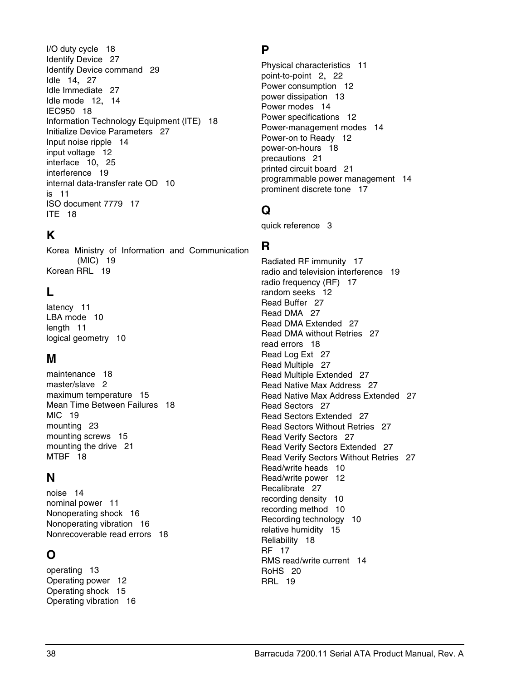I/O duty cycle [18](#page-23-23) Identify Device [27](#page-32-13) Identify Device command [29](#page-34-1) Idle [14](#page-19-6), [27](#page-32-14) Idle Immediate [27](#page-32-15) Idle mode [12](#page-17-5), [14](#page-19-7) IEC950 [18](#page-23-24) Information Technology Equipment (ITE) [18](#page-23-25) Initialize Device Parameters [27](#page-32-16) Input noise ripple [14](#page-19-8) input voltage [12](#page-17-6) interface [10](#page-15-14), [25](#page-30-2) interference [19](#page-24-9) internal data-transfer rate OD [10](#page-15-15) is [11](#page-16-8) ISO document 7779 [17](#page-22-8) ITE [18](#page-23-26)

# **K**

Korea Ministry of Information and Communication (MIC) [19](#page-24-10) Korean RRL [19](#page-24-11)

# **L**

latency [11](#page-16-9) LBA mode [10](#page-15-16) length [11](#page-16-10) logical geometry [10](#page-15-17)

# **M**

maintenance [18](#page-23-27) master/slave [2](#page-7-1) maximum temperature [15](#page-20-11) Mean Time Between Failures [18](#page-23-28) MIC [19](#page-24-12) mounting [23](#page-28-3) mounting screws [15](#page-20-12) mounting the drive [21](#page-26-6) MTBF [18](#page-23-29)

## **N**

noise [14](#page-19-9) nominal power [11](#page-16-11) Nonoperating shock [16](#page-21-3) Nonoperating vibration [16](#page-21-4) Nonrecoverable read errors [18](#page-23-30)

# **O**

operating [13](#page-18-1) Operating power [12](#page-17-7) Operating shock [15](#page-20-13) Operating vibration [16](#page-21-5)

# **P**

Physical characteristics [11](#page-16-12) point-to-point [2](#page-7-2), [22](#page-27-6) Power consumption [12](#page-17-8) power dissipation [13](#page-18-2) Power modes [14](#page-19-10) Power specifications [12](#page-17-9) Power-management modes [14](#page-19-11) Power-on to Ready [12](#page-17-10) power-on-hours [18](#page-23-31) precautions [21](#page-26-7) printed circuit board [21](#page-26-8) programmable power management [14](#page-19-12) prominent discrete tone [17](#page-22-9)

# **Q**

quick reference [3](#page-8-1)

# **R**

Radiated RF immunity [17](#page-22-10) radio and television interference [19](#page-24-13) radio frequency (RF) [17](#page-22-11) random seeks [12](#page-17-11) Read Buffer [27](#page-32-17) Read DMA [27](#page-32-18) Read DMA Extended [27](#page-32-19) Read DMA without Retries [27](#page-32-20) read errors [18](#page-23-32) Read Log Ext [27](#page-32-21) Read Multiple [27](#page-32-22) Read Multiple Extended [27](#page-32-23) Read Native Max Address [27](#page-32-24) Read Native Max Address Extended [27](#page-32-25) Read Sectors [27](#page-32-26) Read Sectors Extended [27](#page-32-27) Read Sectors Without Retries [27](#page-32-28) Read Verify Sectors [27](#page-32-29) Read Verify Sectors Extended [27](#page-32-30) Read Verify Sectors Without Retries [27](#page-32-31) Read/write heads [10](#page-15-18) Read/write power [12](#page-17-12) Recalibrate [27](#page-32-32) recording density [10](#page-15-19) recording method [10](#page-15-20) Recording technology [10](#page-15-21) relative humidity [15](#page-20-14) Reliability [18](#page-23-33) RF [17](#page-22-12) RMS read/write current [14](#page-19-13) RoHS [20](#page-25-6) RRL [19](#page-24-14)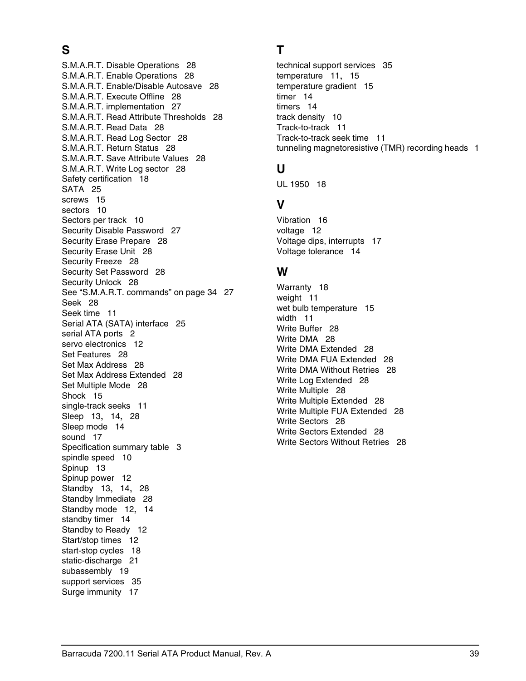# **S**

S.M.A.R.T. Disable Operations [28](#page-33-0) S.M.A.R.T. Enable Operations [28](#page-33-1) S.M.A.R.T. Enable/Disable Autosave [28](#page-33-2) S.M.A.R.T. Execute Offline [28](#page-33-3) S.M.A.R.T. implementation [27](#page-32-33) S.M.A.R.T. Read Attribute Thresholds [28](#page-33-4) S.M.A.R.T. Read Data [28](#page-33-5) S.M.A.R.T. Read Log Sector [28](#page-33-6) S.M.A.R.T. Return Status [28](#page-33-7) S.M.A.R.T. Save Attribute Values [28](#page-33-8) S.M.A.R.T. Write Log sector [28](#page-33-9) Safety certification [18](#page-23-34) SATA [25](#page-30-3) screws [15](#page-20-15) sectors [10](#page-15-22) Sectors per track [10](#page-15-23) Security Disable Password [27](#page-32-34) Security Erase Prepare [28](#page-33-10) Security Erase Unit [28](#page-33-11) Security Freeze [28](#page-33-12) Security Set Password [28](#page-33-13) Security Unlock [28](#page-33-14) See "S.M.A.R.T. commands" on page 34 [27](#page-32-35) Seek [28](#page-33-15) Seek time [11](#page-16-13) Serial ATA (SATA) interface [25](#page-30-4) serial ATA ports [2](#page-7-3) servo electronics [12](#page-17-13) Set Features [28](#page-33-16) Set Max Address [28](#page-33-17) Set Max Address Extended [28](#page-33-18) Set Multiple Mode [28](#page-33-19) Shock [15](#page-20-16) single-track seeks [11](#page-16-14) Sleep [13](#page-18-3), [14](#page-19-14), [28](#page-33-20) Sleep mode [14](#page-19-15) sound [17](#page-22-13) Specification summary table [3](#page-8-2) spindle speed [10](#page-15-24) Spinup [13](#page-18-4) Spinup power [12](#page-17-14) Standby [13](#page-18-5), [14](#page-19-16), [28](#page-33-21) Standby Immediate [28](#page-33-22) Standby mode [12](#page-17-15), [14](#page-19-17) standby timer [14](#page-19-18) Standby to Ready [12](#page-17-16) Start/stop times [12](#page-17-17) start-stop cycles [18](#page-23-35) static-discharge [21](#page-26-9) subassembly [19](#page-24-15) support services [35](#page-40-1) Surge immunity [17](#page-22-14)

# **T**

technical support services [35](#page-40-1) temperature [11](#page-16-15), [15](#page-20-17) temperature gradient [15](#page-20-18) timer [14](#page-19-19) timers [14](#page-19-20) track density [10](#page-15-25) Track-to-track [11](#page-16-16) Track-to-track seek time [11](#page-16-17) tunneling magnetoresistive (TMR) recording heads [1](#page-6-6)

## **U**

UL 1950 [18](#page-23-36)

## **V**

Vibration [16](#page-21-6) voltage [12](#page-17-18) Voltage dips, interrupts [17](#page-22-15) Voltage tolerance [14](#page-19-21)

## **W**

Warranty [18](#page-23-37) weight [11](#page-16-18) wet bulb temperature [15](#page-20-19) width [11](#page-16-19) Write Buffer [28](#page-33-23) Write DMA [28](#page-33-24) Write DMA Extended [28](#page-33-25) Write DMA FUA Extended [28](#page-33-26) Write DMA Without Retries [28](#page-33-27) Write Log Extended [28](#page-33-28) Write Multiple [28](#page-33-29) Write Multiple Extended [28](#page-33-30) Write Multiple FUA Extended [28](#page-33-31) Write Sectors [28](#page-33-32) Write Sectors Extended [28](#page-33-33) Write Sectors Without Retries [28](#page-33-34)